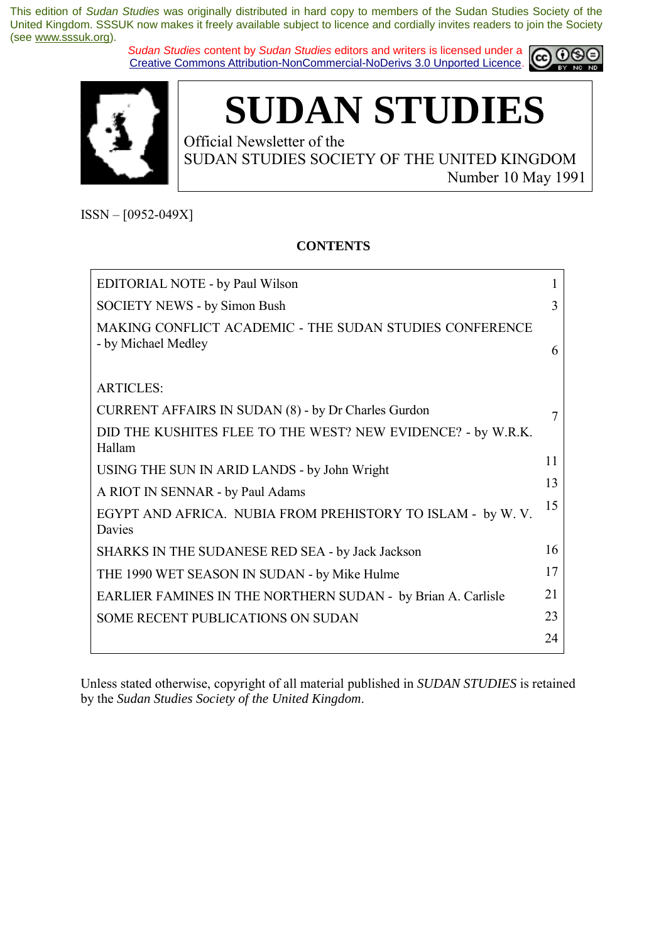*Sudan Studies* content by *Sudan Studies* editors and writers is licensed under a Creative Commons Attribution-NonCommercial-NoDerivs 3.0 Unported Licence.





**SUDAN STUDIES** 

Official Newsletter of the SUDAN STUDIES SOCIETY OF THE UNITED KINGDOM Number 10 May 1991

 $ISSN - [0952-049X]$ 

### **CONTENTS**

| EDITORIAL NOTE - by Paul Wilson                                                |    |
|--------------------------------------------------------------------------------|----|
| <b>SOCIETY NEWS - by Simon Bush</b>                                            |    |
| MAKING CONFLICT ACADEMIC - THE SUDAN STUDIES CONFERENCE<br>- by Michael Medley | 6  |
| <b>ARTICLES:</b>                                                               |    |
| <b>CURRENT AFFAIRS IN SUDAN (8) - by Dr Charles Gurdon</b>                     |    |
| DID THE KUSHITES FLEE TO THE WEST? NEW EVIDENCE? - by W.R.K.<br>Hallam         |    |
| USING THE SUN IN ARID LANDS - by John Wright                                   | 11 |
| A RIOT IN SENNAR - by Paul Adams                                               | 13 |
| EGYPT AND AFRICA. NUBIA FROM PREHISTORY TO ISLAM - by W.V.<br>Davies           | 15 |
| SHARKS IN THE SUDANESE RED SEA - by Jack Jackson                               | 16 |
| THE 1990 WET SEASON IN SUDAN - by Mike Hulme                                   | 17 |
| EARLIER FAMINES IN THE NORTHERN SUDAN - by Brian A. Carlisle                   | 21 |
| <b>SOME RECENT PUBLICATIONS ON SUDAN</b>                                       | 23 |
|                                                                                | 24 |

Unless stated otherwise, copyright of all material published in *SUDAN STUDIES* is retained by the *Sudan Studies Society of the United Kingdom*.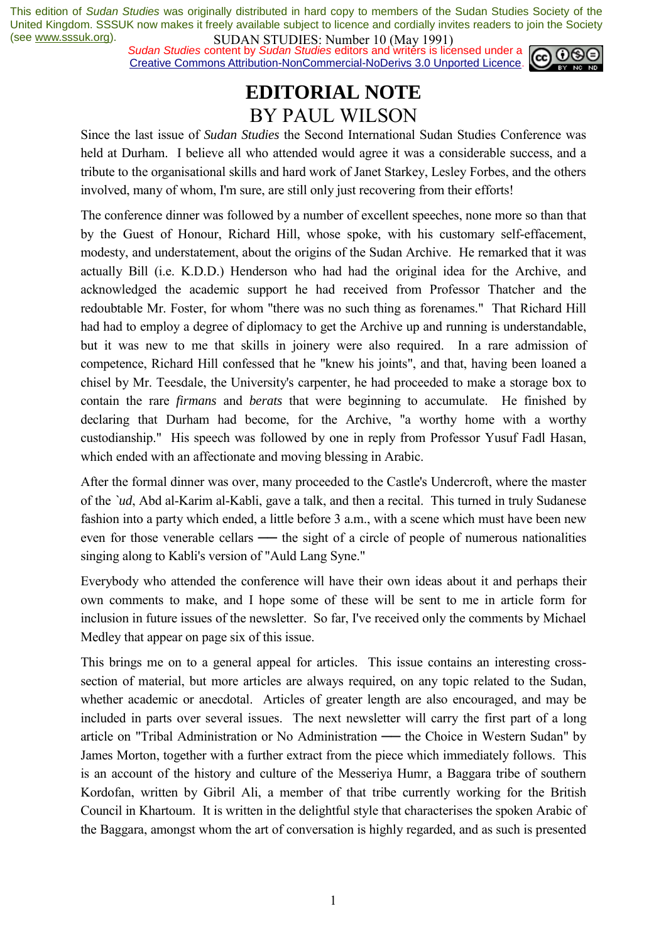**SUDAN STUDIES**: NUTTUBLE 10 (1949 1771)<br>Sudan Studies content by *Sudan Studies* editors and writers is licensed under a **co. 00** Creative Commons Attribution-NonCommercial-NoDerivs 3.0 Unported Licence.



## **EDITORIAL NOTE**  BY PAUL WILSON

Since the last issue of *Sudan Studies* the Second International Sudan Studies Conference was held at Durham. I believe all who attended would agree it was a considerable success, and a tribute to the organisational skills and hard work of Janet Starkey, Lesley Forbes, and the others involved, many of whom, I'm sure, are still only just recovering from their efforts!

The conference dinner was followed by a number of excellent speeches, none more so than that by the Guest of Honour, Richard Hill, whose spoke, with his customary self-effacement, modesty, and understatement, about the origins of the Sudan Archive. He remarked that it was actually Bill (i.e. K.D.D.) Henderson who had had the original idea for the Archive, and acknowledged the academic support he had received from Professor Thatcher and the redoubtable Mr. Foster, for whom "there was no such thing as forenames." That Richard Hill had had to employ a degree of diplomacy to get the Archive up and running is understandable, but it was new to me that skills in joinery were also required. In a rare admission of competence, Richard Hill confessed that he "knew his joints", and that, having been loaned a chisel by Mr. Teesdale, the University's carpenter, he had proceeded to make a storage box to contain the rare *firmans* and *berats* that were beginning to accumulate. He finished by declaring that Durham had become, for the Archive, "a worthy home with a worthy custodianship." His speech was followed by one in reply from Professor Yusuf Fadl Hasan, which ended with an affectionate and moving blessing in Arabic.

After the formal dinner was over, many proceeded to the Castle's Undercroft, where the master of the *`ud*, Abd al-Karim al-Kabli, gave a talk, and then a recital. This turned in truly Sudanese fashion into a party which ended, a little before 3 a.m., with a scene which must have been new even for those venerable cellars — the sight of a circle of people of numerous nationalities singing along to Kabli's version of "Auld Lang Syne."

Everybody who attended the conference will have their own ideas about it and perhaps their own comments to make, and I hope some of these will be sent to me in article form for inclusion in future issues of the newsletter. So far, I've received only the comments by Michael Medley that appear on page six of this issue.

This brings me on to a general appeal for articles. This issue contains an interesting crosssection of material, but more articles are always required, on any topic related to the Sudan, whether academic or anecdotal. Articles of greater length are also encouraged, and may be included in parts over several issues. The next newsletter will carry the first part of a long article on "Tribal Administration or No Administration ── the Choice in Western Sudan" by James Morton, together with a further extract from the piece which immediately follows. This is an account of the history and culture of the Messeriya Humr, a Baggara tribe of southern Kordofan, written by Gibril Ali, a member of that tribe currently working for the British Council in Khartoum. It is written in the delightful style that characterises the spoken Arabic of the Baggara, amongst whom the art of conversation is highly regarded, and as such is presented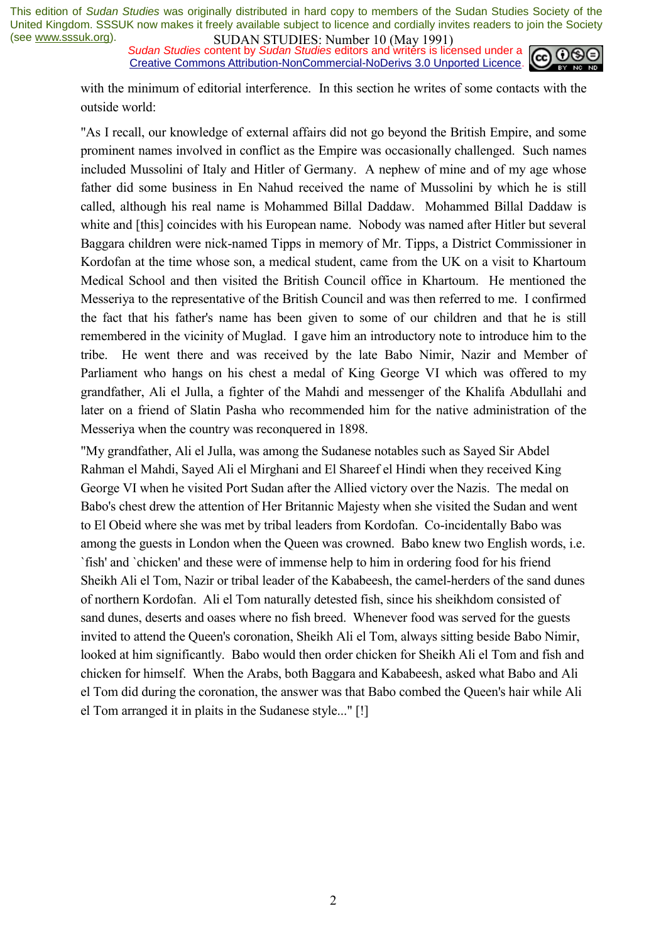**SUDAN STUDIES:** Number to *(Way 1771)*<br>Sudan Studies content by Sudan Studies editors and writers is licensed under a  $\omega$  090 Creative Commons Attribution-NonCommercial-NoDerivs 3.0 Unported Licence.



with the minimum of editorial interference. In this section he writes of some contacts with the outside world:

"As I recall, our knowledge of external affairs did not go beyond the British Empire, and some prominent names involved in conflict as the Empire was occasionally challenged. Such names included Mussolini of Italy and Hitler of Germany. A nephew of mine and of my age whose father did some business in En Nahud received the name of Mussolini by which he is still called, although his real name is Mohammed Billal Daddaw. Mohammed Billal Daddaw is white and [this] coincides with his European name. Nobody was named after Hitler but several Baggara children were nick-named Tipps in memory of Mr. Tipps, a District Commissioner in Kordofan at the time whose son, a medical student, came from the UK on a visit to Khartoum Medical School and then visited the British Council office in Khartoum. He mentioned the Messeriya to the representative of the British Council and was then referred to me. I confirmed the fact that his father's name has been given to some of our children and that he is still remembered in the vicinity of Muglad. I gave him an introductory note to introduce him to the tribe. He went there and was received by the late Babo Nimir, Nazir and Member of Parliament who hangs on his chest a medal of King George VI which was offered to my grandfather, Ali el Julla, a fighter of the Mahdi and messenger of the Khalifa Abdullahi and later on a friend of Slatin Pasha who recommended him for the native administration of the Messeriya when the country was reconquered in 1898.

"My grandfather, Ali el Julla, was among the Sudanese notables such as Sayed Sir Abdel Rahman el Mahdi, Sayed Ali el Mirghani and El Shareef el Hindi when they received King George VI when he visited Port Sudan after the Allied victory over the Nazis. The medal on Babo's chest drew the attention of Her Britannic Majesty when she visited the Sudan and went to El Obeid where she was met by tribal leaders from Kordofan. Co-incidentally Babo was among the guests in London when the Queen was crowned. Babo knew two English words, i.e. `fish' and `chicken' and these were of immense help to him in ordering food for his friend Sheikh Ali el Tom, Nazir or tribal leader of the Kababeesh, the camel-herders of the sand dunes of northern Kordofan. Ali el Tom naturally detested fish, since his sheikhdom consisted of sand dunes, deserts and oases where no fish breed. Whenever food was served for the guests invited to attend the Queen's coronation, Sheikh Ali el Tom, always sitting beside Babo Nimir, looked at him significantly. Babo would then order chicken for Sheikh Ali el Tom and fish and chicken for himself. When the Arabs, both Baggara and Kababeesh, asked what Babo and Ali el Tom did during the coronation, the answer was that Babo combed the Queen's hair while Ali el Tom arranged it in plaits in the Sudanese style..." [!]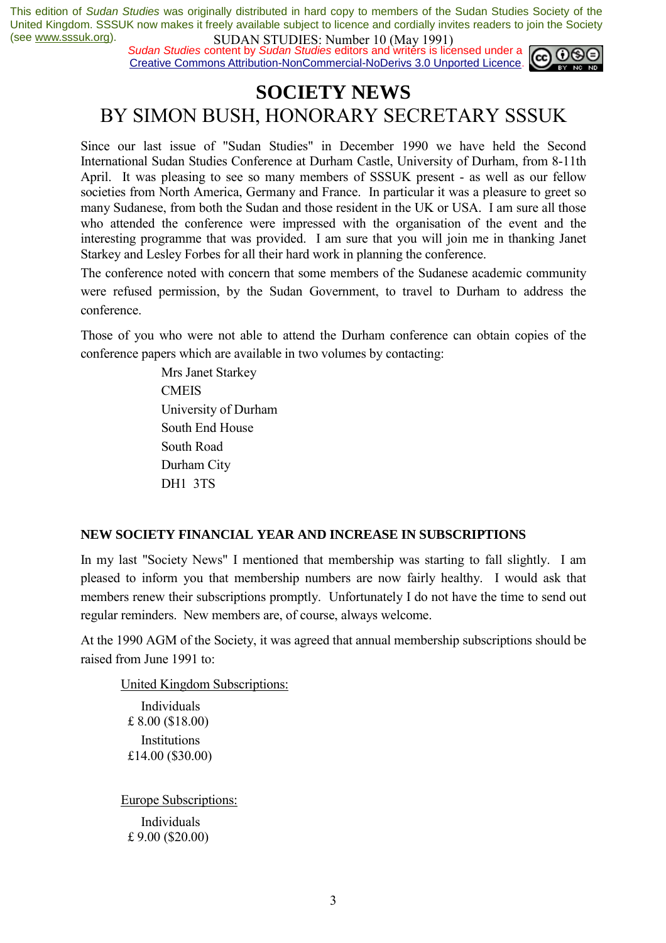**SUDAN STUDIES.** Number To (1948) 1771,<br>*Sudan Studies* content by *Sudan Studies* editors and writers is licensed under a **c c c c c** Creative Commons Attribution-NonCommercial-NoDerivs 3.0 Unported Licence.



### **SOCIETY NEWS**  BY SIMON BUSH, HONORARY SECRETARY SSSUK

Since our last issue of "Sudan Studies" in December 1990 we have held the Second International Sudan Studies Conference at Durham Castle, University of Durham, from 8-11th April. It was pleasing to see so many members of SSSUK present - as well as our fellow societies from North America, Germany and France. In particular it was a pleasure to greet so many Sudanese, from both the Sudan and those resident in the UK or USA. I am sure all those who attended the conference were impressed with the organisation of the event and the interesting programme that was provided. I am sure that you will join me in thanking Janet Starkey and Lesley Forbes for all their hard work in planning the conference.

The conference noted with concern that some members of the Sudanese academic community were refused permission, by the Sudan Government, to travel to Durham to address the conference.

Those of you who were not able to attend the Durham conference can obtain copies of the conference papers which are available in two volumes by contacting:

> Mrs Janet Starkey **CMEIS**  University of Durham South End House South Road Durham City DH1 3TS

### **NEW SOCIETY FINANCIAL YEAR AND INCREASE IN SUBSCRIPTIONS**

In my last "Society News" I mentioned that membership was starting to fall slightly. I am pleased to inform you that membership numbers are now fairly healthy. I would ask that members renew their subscriptions promptly. Unfortunately I do not have the time to send out regular reminders. New members are, of course, always welcome.

At the 1990 AGM of the Society, it was agreed that annual membership subscriptions should be raised from June 1991 to:

 United Kingdom Subscriptions: Individuals £ 8.00 (\$18.00) Institutions £14.00 (\$30.00) Europe Subscriptions:

 Individuals £ 9.00 (\$20.00)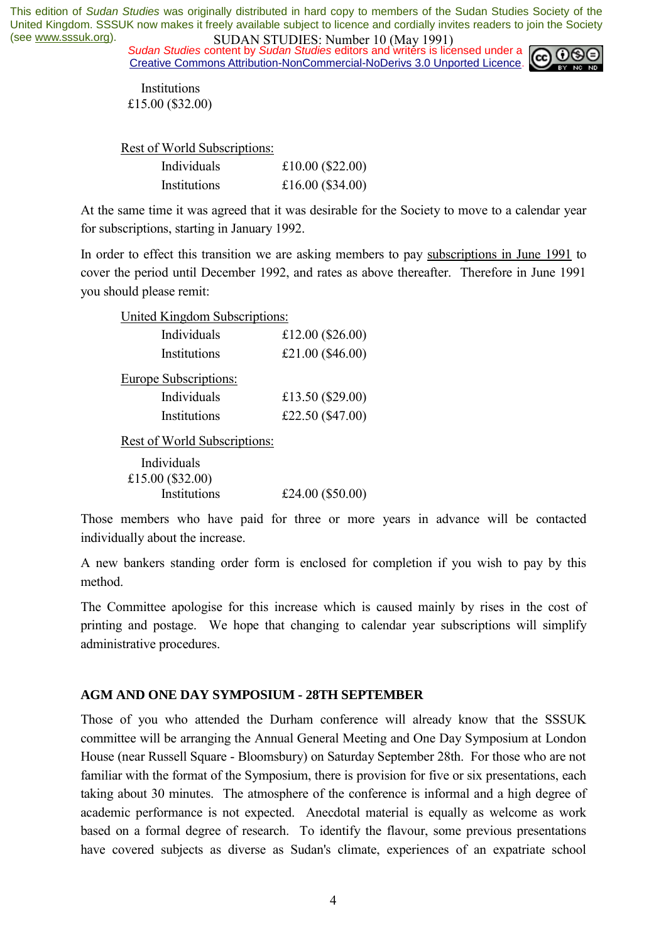*Sudan Studies* content by *Sudan Studies* editors and writers is licensed under a Creative Commons Attribution-NonCommercial-NoDerivs 3.0 Unported Licence.



**Institutions** £15.00 (\$32.00)

Rest of World Subscriptions:

| Individuals  | £10.00 $(\$22.00)$ |
|--------------|--------------------|
| Institutions | £16.00 $(\$34.00)$ |

At the same time it was agreed that it was desirable for the Society to move to a calendar year for subscriptions, starting in January 1992.

In order to effect this transition we are asking members to pay subscriptions in June 1991 to cover the period until December 1992, and rates as above thereafter. Therefore in June 1991 you should please remit:

| <b>United Kingdom Subscriptions:</b> |                    |  |
|--------------------------------------|--------------------|--|
| Individuals                          | £12.00 $(\$26.00)$ |  |
| Institutions                         | £21.00 $(\$46.00)$ |  |
| <b>Europe Subscriptions:</b>         |                    |  |
| Individuals                          | £13.50 $(\$29.00)$ |  |
| Institutions                         | £22.50 (\$47.00)   |  |
| Rest of World Subscriptions:         |                    |  |

| Individuals        |                    |
|--------------------|--------------------|
| £15.00 $(\$32.00)$ |                    |
| Institutions       | £24.00 $(\$50.00)$ |

Those members who have paid for three or more years in advance will be contacted individually about the increase.

A new bankers standing order form is enclosed for completion if you wish to pay by this method.

The Committee apologise for this increase which is caused mainly by rises in the cost of printing and postage. We hope that changing to calendar year subscriptions will simplify administrative procedures.

### **AGM AND ONE DAY SYMPOSIUM - 28TH SEPTEMBER**

Those of you who attended the Durham conference will already know that the SSSUK committee will be arranging the Annual General Meeting and One Day Symposium at London House (near Russell Square - Bloomsbury) on Saturday September 28th. For those who are not familiar with the format of the Symposium, there is provision for five or six presentations, each taking about 30 minutes. The atmosphere of the conference is informal and a high degree of academic performance is not expected. Anecdotal material is equally as welcome as work based on a formal degree of research. To identify the flavour, some previous presentations have covered subjects as diverse as Sudan's climate, experiences of an expatriate school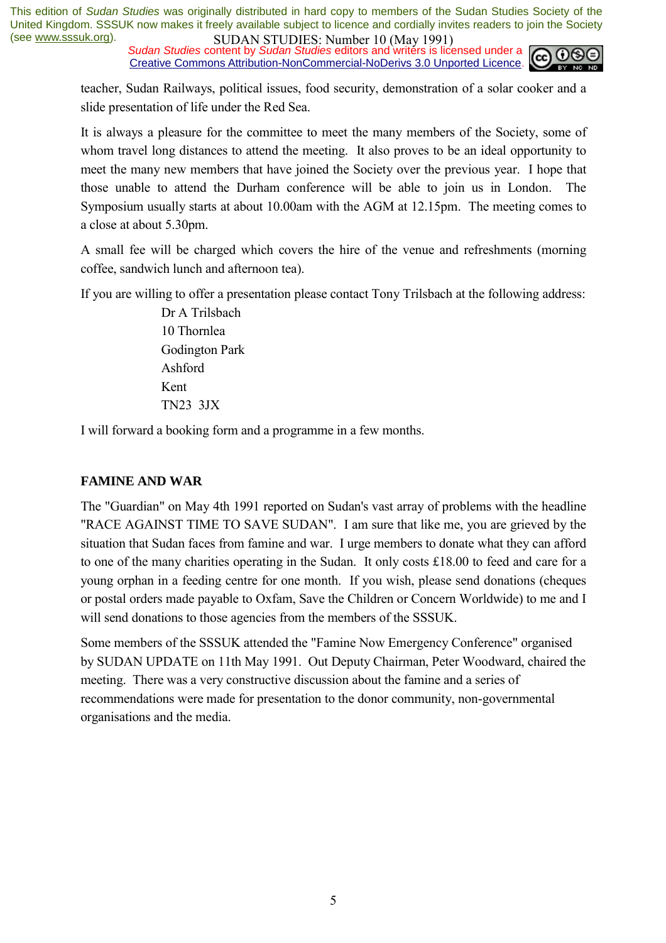**SUDAN STUDIES.** NUTTED IN (1948) 1771, Sudan Studies content by *Sudan Studies* editors and writers is licensed under a Creative Commons Attribution-NonCommercial-NoDerivs 3.0 Unported Licence.



teacher, Sudan Railways, political issues, food security, demonstration of a solar cooker and a slide presentation of life under the Red Sea.

It is always a pleasure for the committee to meet the many members of the Society, some of whom travel long distances to attend the meeting. It also proves to be an ideal opportunity to meet the many new members that have joined the Society over the previous year. I hope that those unable to attend the Durham conference will be able to join us in London. The Symposium usually starts at about 10.00am with the AGM at 12.15pm. The meeting comes to a close at about 5.30pm.

A small fee will be charged which covers the hire of the venue and refreshments (morning coffee, sandwich lunch and afternoon tea).

If you are willing to offer a presentation please contact Tony Trilsbach at the following address:

 Dr A Trilsbach 10 Thornlea Godington Park Ashford Kent TN23 3JX

I will forward a booking form and a programme in a few months.

### **FAMINE AND WAR**

The "Guardian" on May 4th 1991 reported on Sudan's vast array of problems with the headline "RACE AGAINST TIME TO SAVE SUDAN". I am sure that like me, you are grieved by the situation that Sudan faces from famine and war. I urge members to donate what they can afford to one of the many charities operating in the Sudan. It only costs £18.00 to feed and care for a young orphan in a feeding centre for one month. If you wish, please send donations (cheques or postal orders made payable to Oxfam, Save the Children or Concern Worldwide) to me and I will send donations to those agencies from the members of the SSSUK.

Some members of the SSSUK attended the "Famine Now Emergency Conference" organised by SUDAN UPDATE on 11th May 1991. Out Deputy Chairman, Peter Woodward, chaired the meeting. There was a very constructive discussion about the famine and a series of recommendations were made for presentation to the donor community, non-governmental organisations and the media.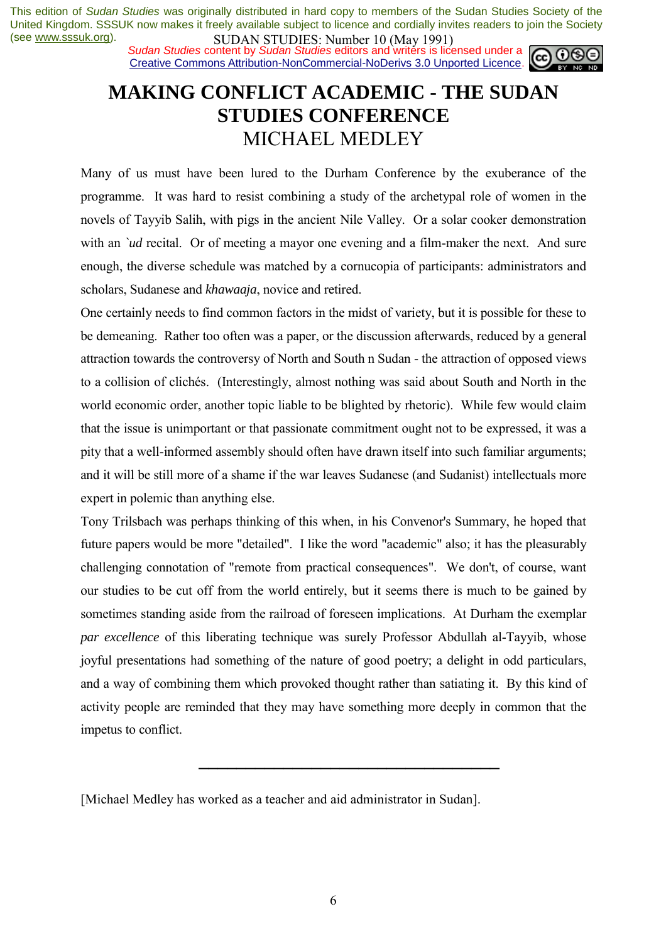**SUDAN STUDIES:** NUTTUB TO (1949 1771)<br>Sudan Studies content by Sudan Studies editors and writers is licensed under a **co. 00** Creative Commons Attribution-NonCommercial-NoDerivs 3.0 Unported Licence.



## **MAKING CONFLICT ACADEMIC - THE SUDAN STUDIES CONFERENCE**  MICHAEL MEDLEY

Many of us must have been lured to the Durham Conference by the exuberance of the programme. It was hard to resist combining a study of the archetypal role of women in the novels of Tayyib Salih, with pigs in the ancient Nile Valley. Or a solar cooker demonstration with an *`ud* recital. Or of meeting a mayor one evening and a film-maker the next. And sure enough, the diverse schedule was matched by a cornucopia of participants: administrators and scholars, Sudanese and *khawaaja*, novice and retired.

One certainly needs to find common factors in the midst of variety, but it is possible for these to be demeaning. Rather too often was a paper, or the discussion afterwards, reduced by a general attraction towards the controversy of North and South n Sudan - the attraction of opposed views to a collision of clichés. (Interestingly, almost nothing was said about South and North in the world economic order, another topic liable to be blighted by rhetoric). While few would claim that the issue is unimportant or that passionate commitment ought not to be expressed, it was a pity that a well-informed assembly should often have drawn itself into such familiar arguments; and it will be still more of a shame if the war leaves Sudanese (and Sudanist) intellectuals more expert in polemic than anything else.

Tony Trilsbach was perhaps thinking of this when, in his Convenor's Summary, he hoped that future papers would be more "detailed". I like the word "academic" also; it has the pleasurably challenging connotation of "remote from practical consequences". We don't, of course, want our studies to be cut off from the world entirely, but it seems there is much to be gained by sometimes standing aside from the railroad of foreseen implications. At Durham the exemplar *par excellence* of this liberating technique was surely Professor Abdullah al-Tayyib, whose joyful presentations had something of the nature of good poetry; a delight in odd particulars, and a way of combining them which provoked thought rather than satiating it. By this kind of activity people are reminded that they may have something more deeply in common that the impetus to conflict.

────────────────────────────────

<sup>[</sup>Michael Medley has worked as a teacher and aid administrator in Sudan].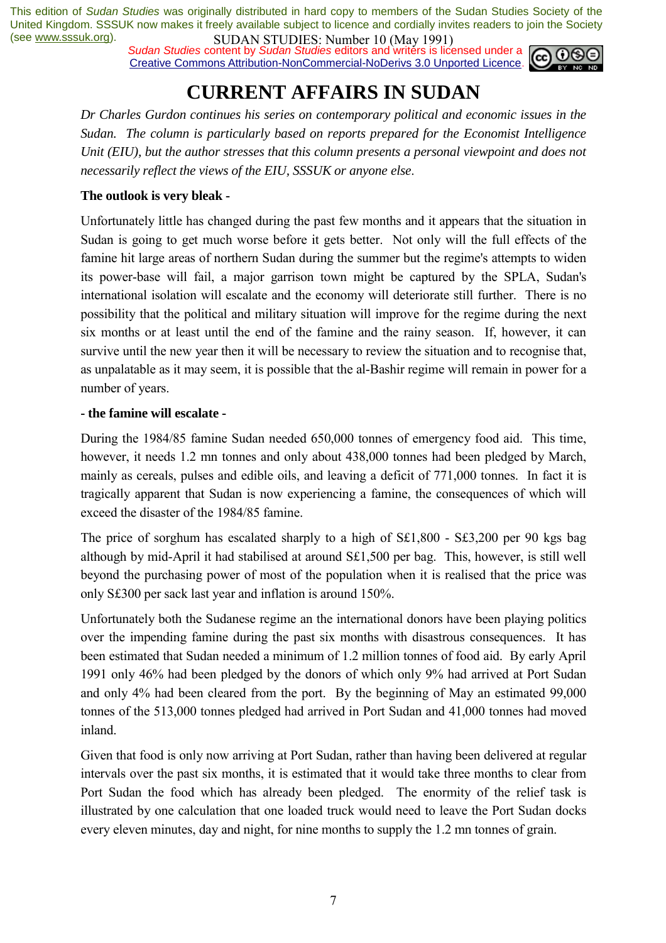*Sudan Studies* content by *Sudan Studies* editors and writers is licensed under a Creative Commons Attribution-NonCommercial-NoDerivs 3.0 Unported Licence.



# **CURRENT AFFAIRS IN SUDAN**

*Dr Charles Gurdon continues his series on contemporary political and economic issues in the Sudan. The column is particularly based on reports prepared for the Economist Intelligence Unit (EIU), but the author stresses that this column presents a personal viewpoint and does not necessarily reflect the views of the EIU, SSSUK or anyone else*.

### **The outlook is very bleak -**

Unfortunately little has changed during the past few months and it appears that the situation in Sudan is going to get much worse before it gets better. Not only will the full effects of the famine hit large areas of northern Sudan during the summer but the regime's attempts to widen its power-base will fail, a major garrison town might be captured by the SPLA, Sudan's international isolation will escalate and the economy will deteriorate still further. There is no possibility that the political and military situation will improve for the regime during the next six months or at least until the end of the famine and the rainy season. If, however, it can survive until the new year then it will be necessary to review the situation and to recognise that, as unpalatable as it may seem, it is possible that the al-Bashir regime will remain in power for a number of years.

### **- the famine will escalate -**

During the 1984/85 famine Sudan needed 650,000 tonnes of emergency food aid. This time, however, it needs 1.2 mn tonnes and only about 438,000 tonnes had been pledged by March, mainly as cereals, pulses and edible oils, and leaving a deficit of 771,000 tonnes. In fact it is tragically apparent that Sudan is now experiencing a famine, the consequences of which will exceed the disaster of the 1984/85 famine.

The price of sorghum has escalated sharply to a high of S£1,800 - S£3,200 per 90 kgs bag although by mid-April it had stabilised at around S£1,500 per bag. This, however, is still well beyond the purchasing power of most of the population when it is realised that the price was only S£300 per sack last year and inflation is around 150%.

Unfortunately both the Sudanese regime an the international donors have been playing politics over the impending famine during the past six months with disastrous consequences. It has been estimated that Sudan needed a minimum of 1.2 million tonnes of food aid. By early April 1991 only 46% had been pledged by the donors of which only 9% had arrived at Port Sudan and only 4% had been cleared from the port. By the beginning of May an estimated 99,000 tonnes of the 513,000 tonnes pledged had arrived in Port Sudan and 41,000 tonnes had moved inland.

Given that food is only now arriving at Port Sudan, rather than having been delivered at regular intervals over the past six months, it is estimated that it would take three months to clear from Port Sudan the food which has already been pledged. The enormity of the relief task is illustrated by one calculation that one loaded truck would need to leave the Port Sudan docks every eleven minutes, day and night, for nine months to supply the 1.2 mn tonnes of grain.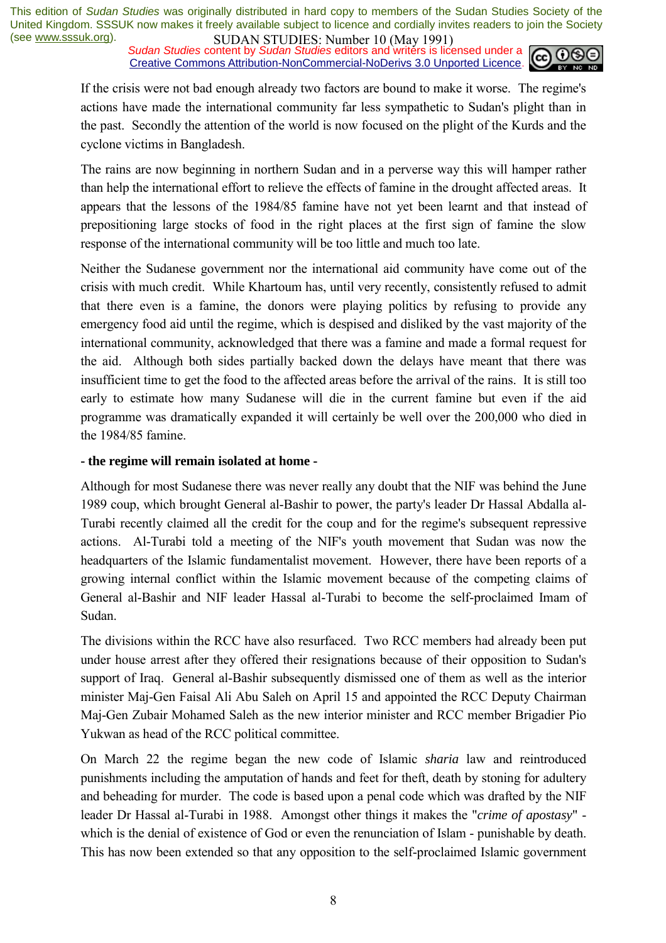**SUDAN STUDIES:** Number to *(Way 1771)*<br>Sudan Studies content by Sudan Studies editors and writers is licensed under a  $\omega$  090 Creative Commons Attribution-NonCommercial-NoDerivs 3.0 Unported Licence.



If the crisis were not bad enough already two factors are bound to make it worse. The regime's actions have made the international community far less sympathetic to Sudan's plight than in the past. Secondly the attention of the world is now focused on the plight of the Kurds and the cyclone victims in Bangladesh.

The rains are now beginning in northern Sudan and in a perverse way this will hamper rather than help the international effort to relieve the effects of famine in the drought affected areas. It appears that the lessons of the 1984/85 famine have not yet been learnt and that instead of prepositioning large stocks of food in the right places at the first sign of famine the slow response of the international community will be too little and much too late.

Neither the Sudanese government nor the international aid community have come out of the crisis with much credit. While Khartoum has, until very recently, consistently refused to admit that there even is a famine, the donors were playing politics by refusing to provide any emergency food aid until the regime, which is despised and disliked by the vast majority of the international community, acknowledged that there was a famine and made a formal request for the aid. Although both sides partially backed down the delays have meant that there was insufficient time to get the food to the affected areas before the arrival of the rains. It is still too early to estimate how many Sudanese will die in the current famine but even if the aid programme was dramatically expanded it will certainly be well over the 200,000 who died in the 1984/85 famine.

#### **- the regime will remain isolated at home -**

Although for most Sudanese there was never really any doubt that the NIF was behind the June 1989 coup, which brought General al-Bashir to power, the party's leader Dr Hassal Abdalla al-Turabi recently claimed all the credit for the coup and for the regime's subsequent repressive actions. Al-Turabi told a meeting of the NIF's youth movement that Sudan was now the headquarters of the Islamic fundamentalist movement. However, there have been reports of a growing internal conflict within the Islamic movement because of the competing claims of General al-Bashir and NIF leader Hassal al-Turabi to become the self-proclaimed Imam of Sudan.

The divisions within the RCC have also resurfaced. Two RCC members had already been put under house arrest after they offered their resignations because of their opposition to Sudan's support of Iraq. General al-Bashir subsequently dismissed one of them as well as the interior minister Maj-Gen Faisal Ali Abu Saleh on April 15 and appointed the RCC Deputy Chairman Maj-Gen Zubair Mohamed Saleh as the new interior minister and RCC member Brigadier Pio Yukwan as head of the RCC political committee.

On March 22 the regime began the new code of Islamic *sharia* law and reintroduced punishments including the amputation of hands and feet for theft, death by stoning for adultery and beheading for murder. The code is based upon a penal code which was drafted by the NIF leader Dr Hassal al-Turabi in 1988. Amongst other things it makes the "*crime of apostasy*" which is the denial of existence of God or even the renunciation of Islam - punishable by death. This has now been extended so that any opposition to the self-proclaimed Islamic government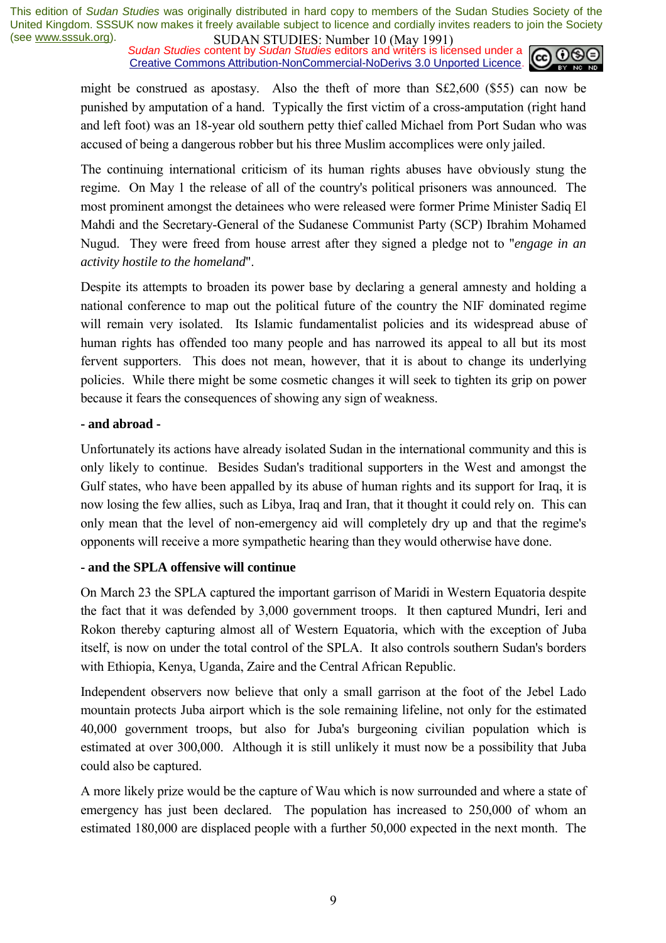**SUDAN STUDIES:** Number to *(Way 1771)*<br>Sudan Studies content by Sudan Studies editors and writers is licensed under a  $\omega$  090 Creative Commons Attribution-NonCommercial-NoDerivs 3.0 Unported Licence.



might be construed as apostasy. Also the theft of more than S£2,600 (\$55) can now be punished by amputation of a hand. Typically the first victim of a cross-amputation (right hand and left foot) was an 18-year old southern petty thief called Michael from Port Sudan who was accused of being a dangerous robber but his three Muslim accomplices were only jailed.

The continuing international criticism of its human rights abuses have obviously stung the regime. On May 1 the release of all of the country's political prisoners was announced. The most prominent amongst the detainees who were released were former Prime Minister Sadiq El Mahdi and the Secretary-General of the Sudanese Communist Party (SCP) Ibrahim Mohamed Nugud. They were freed from house arrest after they signed a pledge not to "*engage in an activity hostile to the homeland*".

Despite its attempts to broaden its power base by declaring a general amnesty and holding a national conference to map out the political future of the country the NIF dominated regime will remain very isolated. Its Islamic fundamentalist policies and its widespread abuse of human rights has offended too many people and has narrowed its appeal to all but its most fervent supporters. This does not mean, however, that it is about to change its underlying policies. While there might be some cosmetic changes it will seek to tighten its grip on power because it fears the consequences of showing any sign of weakness.

### **- and abroad -**

Unfortunately its actions have already isolated Sudan in the international community and this is only likely to continue. Besides Sudan's traditional supporters in the West and amongst the Gulf states, who have been appalled by its abuse of human rights and its support for Iraq, it is now losing the few allies, such as Libya, Iraq and Iran, that it thought it could rely on. This can only mean that the level of non-emergency aid will completely dry up and that the regime's opponents will receive a more sympathetic hearing than they would otherwise have done.

### **- and the SPLA offensive will continue**

On March 23 the SPLA captured the important garrison of Maridi in Western Equatoria despite the fact that it was defended by 3,000 government troops. It then captured Mundri, Ieri and Rokon thereby capturing almost all of Western Equatoria, which with the exception of Juba itself, is now on under the total control of the SPLA. It also controls southern Sudan's borders with Ethiopia, Kenya, Uganda, Zaire and the Central African Republic.

Independent observers now believe that only a small garrison at the foot of the Jebel Lado mountain protects Juba airport which is the sole remaining lifeline, not only for the estimated 40,000 government troops, but also for Juba's burgeoning civilian population which is estimated at over 300,000. Although it is still unlikely it must now be a possibility that Juba could also be captured.

A more likely prize would be the capture of Wau which is now surrounded and where a state of emergency has just been declared. The population has increased to 250,000 of whom an estimated 180,000 are displaced people with a further 50,000 expected in the next month. The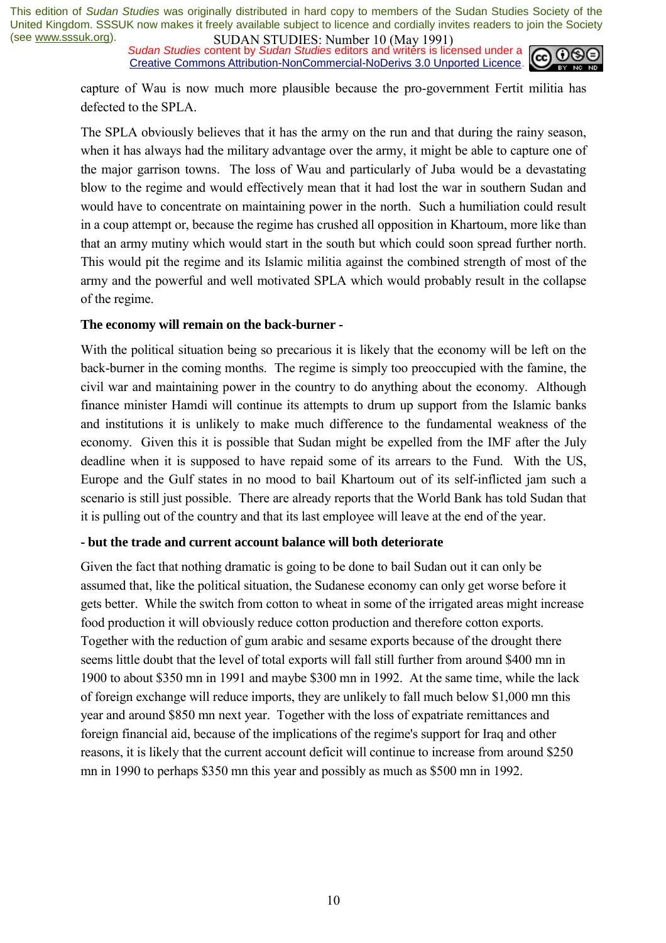**SUDAN STUDIES.** INDIED TO (1948) 1771,<br>Sudan Studies content by *Sudan Studies* editors and writers is licensed under a Creative Commons Attribution-NonCommercial-NoDerivs 3.0 Unported Licence.



capture of Wau is now much more plausible because the pro-government Fertit militia has defected to the SPLA.

The SPLA obviously believes that it has the army on the run and that during the rainy season, when it has always had the military advantage over the army, it might be able to capture one of the major garrison towns. The loss of Wau and particularly of Juba would be a devastating blow to the regime and would effectively mean that it had lost the war in southern Sudan and would have to concentrate on maintaining power in the north. Such a humiliation could result in a coup attempt or, because the regime has crushed all opposition in Khartoum, more like than that an army mutiny which would start in the south but which could soon spread further north. This would pit the regime and its Islamic militia against the combined strength of most of the army and the powerful and well motivated SPLA which would probably result in the collapse of the regime.

#### **The economy will remain on the back-burner -**

With the political situation being so precarious it is likely that the economy will be left on the back-burner in the coming months. The regime is simply too preoccupied with the famine, the civil war and maintaining power in the country to do anything about the economy. Although finance minister Hamdi will continue its attempts to drum up support from the Islamic banks and institutions it is unlikely to make much difference to the fundamental weakness of the economy. Given this it is possible that Sudan might be expelled from the IMF after the July deadline when it is supposed to have repaid some of its arrears to the Fund. With the US, Europe and the Gulf states in no mood to bail Khartoum out of its self-inflicted jam such a scenario is still just possible. There are already reports that the World Bank has told Sudan that it is pulling out of the country and that its last employee will leave at the end of the year.

#### **- but the trade and current account balance will both deteriorate**

Given the fact that nothing dramatic is going to be done to bail Sudan out it can only be assumed that, like the political situation, the Sudanese economy can only get worse before it gets better. While the switch from cotton to wheat in some of the irrigated areas might increase food production it will obviously reduce cotton production and therefore cotton exports. Together with the reduction of gum arabic and sesame exports because of the drought there seems little doubt that the level of total exports will fall still further from around \$400 mn in 1900 to about \$350 mn in 1991 and maybe \$300 mn in 1992. At the same time, while the lack of foreign exchange will reduce imports, they are unlikely to fall much below \$1,000 mn this year and around \$850 mn next year. Together with the loss of expatriate remittances and foreign financial aid, because of the implications of the regime's support for Iraq and other reasons, it is likely that the current account deficit will continue to increase from around \$250 mn in 1990 to perhaps \$350 mn this year and possibly as much as \$500 mn in 1992.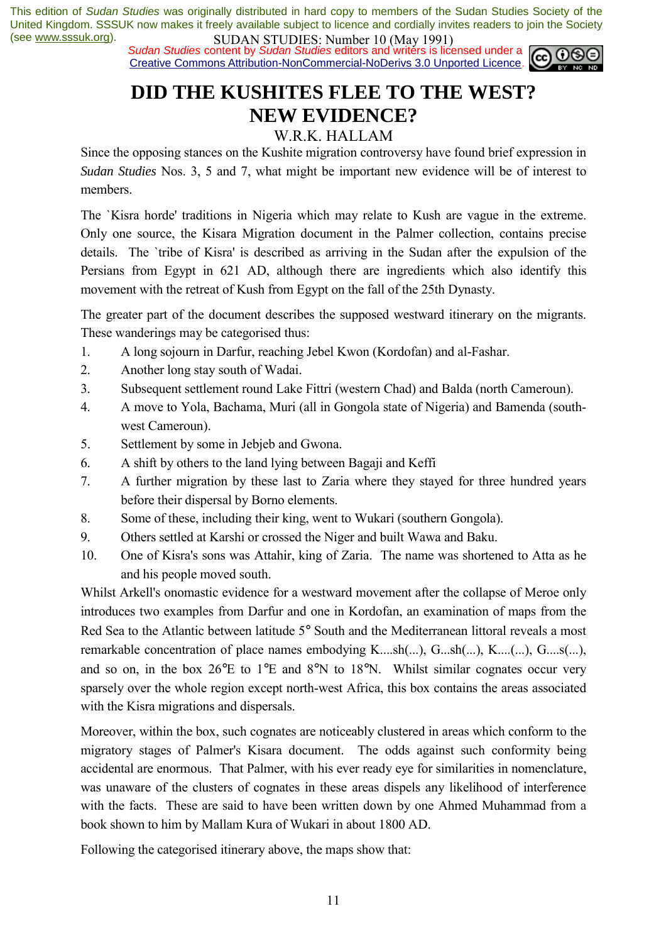**SUDAN STUDIES.** INDIED TO (1948) 1771,<br>Sudan Studies content by Sudan Studies editors and writers is licensed under a Creative Commons Attribution-NonCommercial-NoDerivs 3.0 Unported Licence.



# **DID THE KUSHITES FLEE TO THE WEST? NEW EVIDENCE?**

### W.R.K. HALLAM

Since the opposing stances on the Kushite migration controversy have found brief expression in *Sudan Studies* Nos. 3, 5 and 7, what might be important new evidence will be of interest to members.

The `Kisra horde' traditions in Nigeria which may relate to Kush are vague in the extreme. Only one source, the Kisara Migration document in the Palmer collection, contains precise details. The `tribe of Kisra' is described as arriving in the Sudan after the expulsion of the Persians from Egypt in 621 AD, although there are ingredients which also identify this movement with the retreat of Kush from Egypt on the fall of the 25th Dynasty.

The greater part of the document describes the supposed westward itinerary on the migrants. These wanderings may be categorised thus:

- 1. A long sojourn in Darfur, reaching Jebel Kwon (Kordofan) and al-Fashar.
- 2. Another long stay south of Wadai.
- 3. Subsequent settlement round Lake Fittri (western Chad) and Balda (north Cameroun).
- 4. A move to Yola, Bachama, Muri (all in Gongola state of Nigeria) and Bamenda (southwest Cameroun).
- 5. Settlement by some in Jebjeb and Gwona.
- 6. A shift by others to the land lying between Bagaji and Keffi
- 7. A further migration by these last to Zaria where they stayed for three hundred years before their dispersal by Borno elements.
- 8. Some of these, including their king, went to Wukari (southern Gongola).
- 9. Others settled at Karshi or crossed the Niger and built Wawa and Baku.
- 10. One of Kisra's sons was Attahir, king of Zaria. The name was shortened to Atta as he and his people moved south.

Whilst Arkell's onomastic evidence for a westward movement after the collapse of Meroe only introduces two examples from Darfur and one in Kordofan, an examination of maps from the Red Sea to the Atlantic between latitude 5° South and the Mediterranean littoral reveals a most remarkable concentration of place names embodying K....sh(...), G...sh(...), K....(...), G....s(...), and so on, in the box 26°E to 1°E and 8°N to 18°N. Whilst similar cognates occur very sparsely over the whole region except north-west Africa, this box contains the areas associated with the Kisra migrations and dispersals.

Moreover, within the box, such cognates are noticeably clustered in areas which conform to the migratory stages of Palmer's Kisara document. The odds against such conformity being accidental are enormous. That Palmer, with his ever ready eye for similarities in nomenclature, was unaware of the clusters of cognates in these areas dispels any likelihood of interference with the facts. These are said to have been written down by one Ahmed Muhammad from a book shown to him by Mallam Kura of Wukari in about 1800 AD.

Following the categorised itinerary above, the maps show that: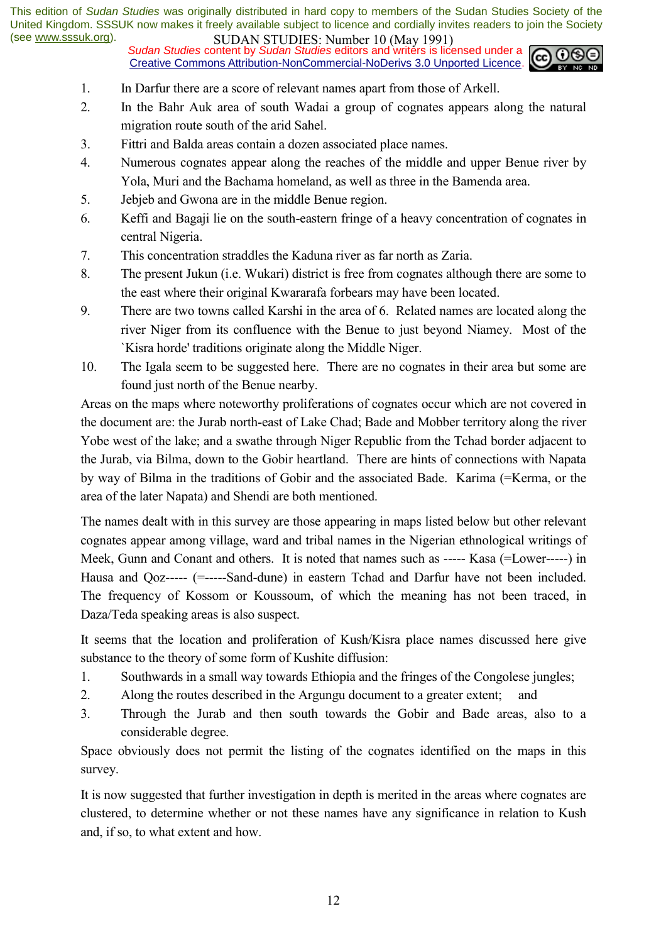**SUDAN STUDIES.** INDIED TO (1948) 1771,<br>Sudan Studies content by *Sudan Studies* editors and writers is licensed under a Creative Commons Attribution-NonCommercial-NoDerivs 3.0 Unported Licence.



- 1. In Darfur there are a score of relevant names apart from those of Arkell.
- 2. In the Bahr Auk area of south Wadai a group of cognates appears along the natural migration route south of the arid Sahel.
- 3. Fittri and Balda areas contain a dozen associated place names.
- 4. Numerous cognates appear along the reaches of the middle and upper Benue river by Yola, Muri and the Bachama homeland, as well as three in the Bamenda area.
- 5. Jebjeb and Gwona are in the middle Benue region.
- 6. Keffi and Bagaji lie on the south-eastern fringe of a heavy concentration of cognates in central Nigeria.
- 7. This concentration straddles the Kaduna river as far north as Zaria.
- 8. The present Jukun (i.e. Wukari) district is free from cognates although there are some to the east where their original Kwararafa forbears may have been located.
- 9. There are two towns called Karshi in the area of 6. Related names are located along the river Niger from its confluence with the Benue to just beyond Niamey. Most of the `Kisra horde' traditions originate along the Middle Niger.
- 10. The Igala seem to be suggested here. There are no cognates in their area but some are found just north of the Benue nearby.

Areas on the maps where noteworthy proliferations of cognates occur which are not covered in the document are: the Jurab north-east of Lake Chad; Bade and Mobber territory along the river Yobe west of the lake; and a swathe through Niger Republic from the Tchad border adjacent to the Jurab, via Bilma, down to the Gobir heartland. There are hints of connections with Napata by way of Bilma in the traditions of Gobir and the associated Bade. Karima (=Kerma, or the area of the later Napata) and Shendi are both mentioned.

The names dealt with in this survey are those appearing in maps listed below but other relevant cognates appear among village, ward and tribal names in the Nigerian ethnological writings of Meek, Gunn and Conant and others. It is noted that names such as ----- Kasa (=Lower-----) in Hausa and Qoz----- (=-----Sand-dune) in eastern Tchad and Darfur have not been included. The frequency of Kossom or Koussoum, of which the meaning has not been traced, in Daza/Teda speaking areas is also suspect.

It seems that the location and proliferation of Kush/Kisra place names discussed here give substance to the theory of some form of Kushite diffusion:

- 1. Southwards in a small way towards Ethiopia and the fringes of the Congolese jungles;
- 2. Along the routes described in the Argungu document to a greater extent;
- 3. Through the Jurab and then south towards the Gobir and Bade areas, also to a considerable degree.

Space obviously does not permit the listing of the cognates identified on the maps in this survey.

It is now suggested that further investigation in depth is merited in the areas where cognates are clustered, to determine whether or not these names have any significance in relation to Kush and, if so, to what extent and how.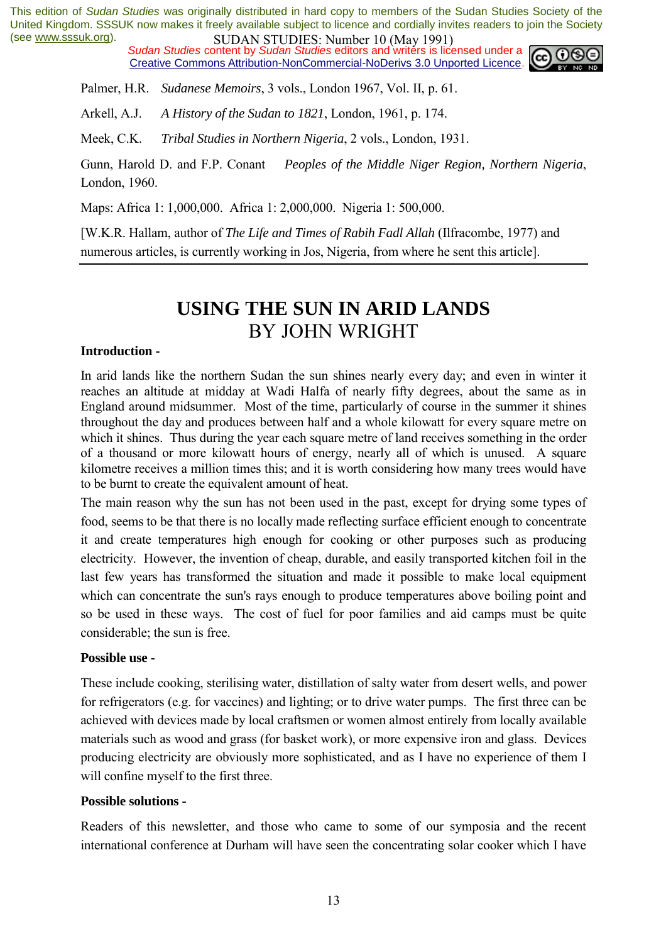**SUDAN STUDIES**: **NUTTER IV (1948)** 1271, Sudan Studies content by *Sudan Studies* editors and writers is licensed under a **cep 00** Creative Commons Attribution-NonCommercial-NoDerivs 3.0 Unported Licence.



Palmer, H.R. *Sudanese Memoirs*, 3 vols., London 1967, Vol. II, p. 61.

Arkell, A.J. *A History of the Sudan to 1821*, London, 1961, p. 174.

Meek, C.K. *Tribal Studies in Northern Nigeria*, 2 vols., London, 1931.

Gunn, Harold D. and F.P. Conant *Peoples of the Middle Niger Region, Northern Nigeria*, London, 1960.

Maps: Africa 1: 1,000,000. Africa 1: 2,000,000. Nigeria 1: 500,000.

[W.K.R. Hallam, author of *The Life and Times of Rabih Fadl Allah* (Ilfracombe, 1977) and numerous articles, is currently working in Jos, Nigeria, from where he sent this article].

## **USING THE SUN IN ARID LANDS**  BY JOHN WRIGHT

#### **Introduction -**

In arid lands like the northern Sudan the sun shines nearly every day; and even in winter it reaches an altitude at midday at Wadi Halfa of nearly fifty degrees, about the same as in England around midsummer. Most of the time, particularly of course in the summer it shines throughout the day and produces between half and a whole kilowatt for every square metre on which it shines. Thus during the year each square metre of land receives something in the order of a thousand or more kilowatt hours of energy, nearly all of which is unused. A square kilometre receives a million times this; and it is worth considering how many trees would have to be burnt to create the equivalent amount of heat.

The main reason why the sun has not been used in the past, except for drying some types of food, seems to be that there is no locally made reflecting surface efficient enough to concentrate it and create temperatures high enough for cooking or other purposes such as producing electricity. However, the invention of cheap, durable, and easily transported kitchen foil in the last few years has transformed the situation and made it possible to make local equipment which can concentrate the sun's rays enough to produce temperatures above boiling point and so be used in these ways. The cost of fuel for poor families and aid camps must be quite considerable; the sun is free.

### **Possible use -**

These include cooking, sterilising water, distillation of salty water from desert wells, and power for refrigerators (e.g. for vaccines) and lighting; or to drive water pumps. The first three can be achieved with devices made by local craftsmen or women almost entirely from locally available materials such as wood and grass (for basket work), or more expensive iron and glass. Devices producing electricity are obviously more sophisticated, and as I have no experience of them I will confine myself to the first three.

#### **Possible solutions -**

Readers of this newsletter, and those who came to some of our symposia and the recent international conference at Durham will have seen the concentrating solar cooker which I have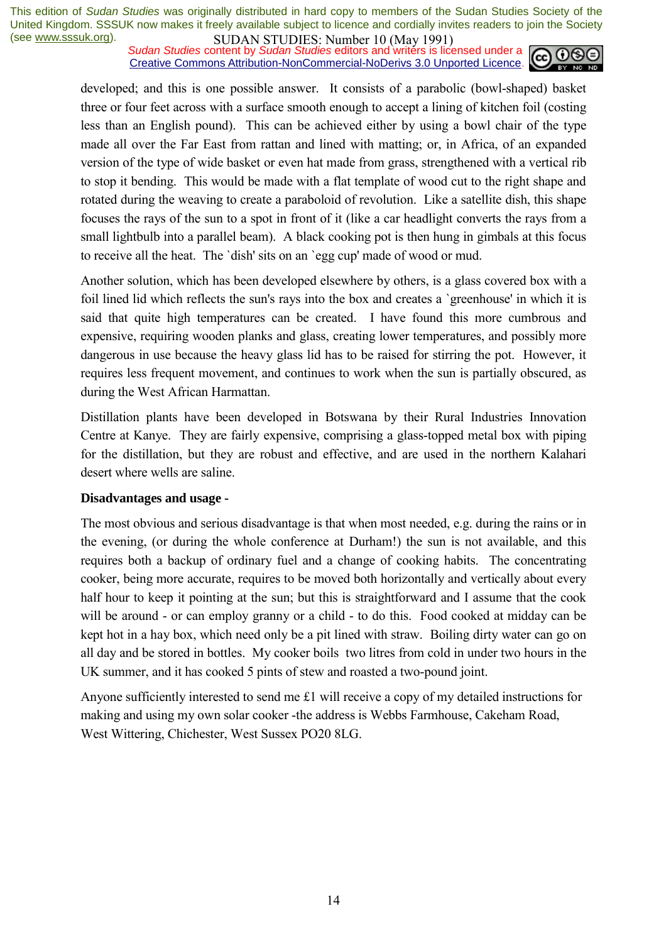**SUDAN STUDIES.** INDIED TO (1948) 1771,<br>Sudan Studies content by *Sudan Studies* editors and writers is licensed under a Creative Commons Attribution-NonCommercial-NoDerivs 3.0 Unported Licence.



developed; and this is one possible answer. It consists of a parabolic (bowl-shaped) basket three or four feet across with a surface smooth enough to accept a lining of kitchen foil (costing less than an English pound). This can be achieved either by using a bowl chair of the type made all over the Far East from rattan and lined with matting; or, in Africa, of an expanded version of the type of wide basket or even hat made from grass, strengthened with a vertical rib to stop it bending. This would be made with a flat template of wood cut to the right shape and rotated during the weaving to create a paraboloid of revolution. Like a satellite dish, this shape focuses the rays of the sun to a spot in front of it (like a car headlight converts the rays from a small lightbulb into a parallel beam). A black cooking pot is then hung in gimbals at this focus to receive all the heat. The `dish' sits on an `egg cup' made of wood or mud.

Another solution, which has been developed elsewhere by others, is a glass covered box with a foil lined lid which reflects the sun's rays into the box and creates a `greenhouse' in which it is said that quite high temperatures can be created. I have found this more cumbrous and expensive, requiring wooden planks and glass, creating lower temperatures, and possibly more dangerous in use because the heavy glass lid has to be raised for stirring the pot. However, it requires less frequent movement, and continues to work when the sun is partially obscured, as during the West African Harmattan.

Distillation plants have been developed in Botswana by their Rural Industries Innovation Centre at Kanye. They are fairly expensive, comprising a glass-topped metal box with piping for the distillation, but they are robust and effective, and are used in the northern Kalahari desert where wells are saline.

#### **Disadvantages and usage -**

The most obvious and serious disadvantage is that when most needed, e.g. during the rains or in the evening, (or during the whole conference at Durham!) the sun is not available, and this requires both a backup of ordinary fuel and a change of cooking habits. The concentrating cooker, being more accurate, requires to be moved both horizontally and vertically about every half hour to keep it pointing at the sun; but this is straightforward and I assume that the cook will be around - or can employ granny or a child - to do this. Food cooked at midday can be kept hot in a hay box, which need only be a pit lined with straw. Boiling dirty water can go on all day and be stored in bottles. My cooker boils two litres from cold in under two hours in the UK summer, and it has cooked 5 pints of stew and roasted a two-pound joint.

Anyone sufficiently interested to send me £1 will receive a copy of my detailed instructions for making and using my own solar cooker -the address is Webbs Farmhouse, Cakeham Road, West Wittering, Chichester, West Sussex PO20 8LG.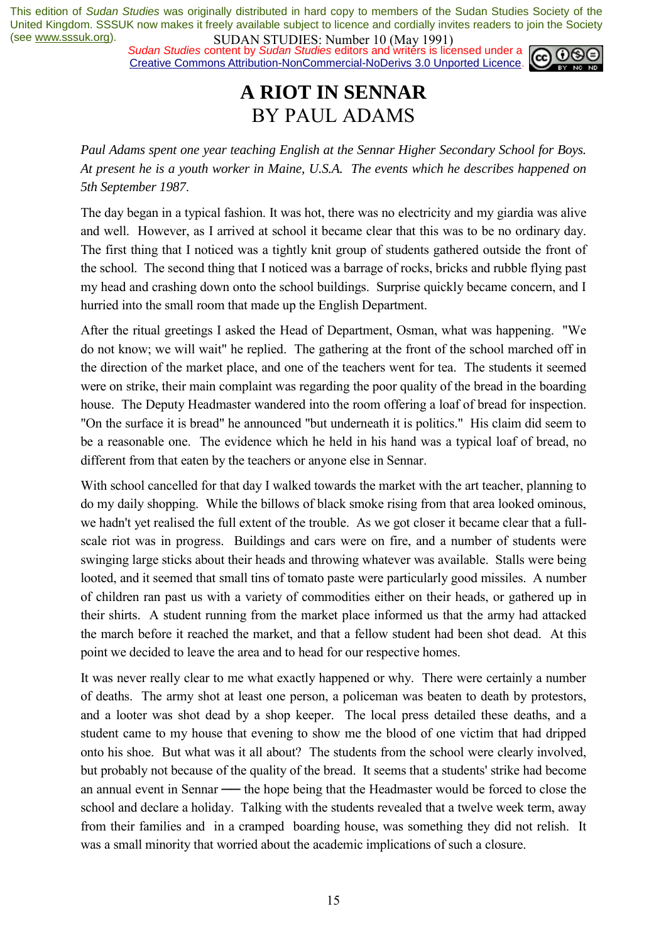*Sudan Studies* content by *Sudan Studies* editors and writers is licensed under a Creative Commons Attribution-NonCommercial-NoDerivs 3.0 Unported Licence.



## **A RIOT IN SENNAR**  BY PAUL ADAMS

*Paul Adams spent one year teaching English at the Sennar Higher Secondary School for Boys. At present he is a youth worker in Maine, U.S.A. The events which he describes happened on 5th September 1987*.

The day began in a typical fashion. It was hot, there was no electricity and my giardia was alive and well. However, as I arrived at school it became clear that this was to be no ordinary day. The first thing that I noticed was a tightly knit group of students gathered outside the front of the school. The second thing that I noticed was a barrage of rocks, bricks and rubble flying past my head and crashing down onto the school buildings. Surprise quickly became concern, and I hurried into the small room that made up the English Department.

After the ritual greetings I asked the Head of Department, Osman, what was happening. "We do not know; we will wait" he replied. The gathering at the front of the school marched off in the direction of the market place, and one of the teachers went for tea. The students it seemed were on strike, their main complaint was regarding the poor quality of the bread in the boarding house. The Deputy Headmaster wandered into the room offering a loaf of bread for inspection. "On the surface it is bread" he announced "but underneath it is politics." His claim did seem to be a reasonable one. The evidence which he held in his hand was a typical loaf of bread, no different from that eaten by the teachers or anyone else in Sennar.

With school cancelled for that day I walked towards the market with the art teacher, planning to do my daily shopping. While the billows of black smoke rising from that area looked ominous, we hadn't yet realised the full extent of the trouble. As we got closer it became clear that a fullscale riot was in progress. Buildings and cars were on fire, and a number of students were swinging large sticks about their heads and throwing whatever was available. Stalls were being looted, and it seemed that small tins of tomato paste were particularly good missiles. A number of children ran past us with a variety of commodities either on their heads, or gathered up in their shirts. A student running from the market place informed us that the army had attacked the march before it reached the market, and that a fellow student had been shot dead. At this point we decided to leave the area and to head for our respective homes.

It was never really clear to me what exactly happened or why. There were certainly a number of deaths. The army shot at least one person, a policeman was beaten to death by protestors, and a looter was shot dead by a shop keeper. The local press detailed these deaths, and a student came to my house that evening to show me the blood of one victim that had dripped onto his shoe. But what was it all about? The students from the school were clearly involved, but probably not because of the quality of the bread. It seems that a students' strike had become an annual event in Sennar — the hope being that the Headmaster would be forced to close the school and declare a holiday. Talking with the students revealed that a twelve week term, away from their families and in a cramped boarding house, was something they did not relish. It was a small minority that worried about the academic implications of such a closure.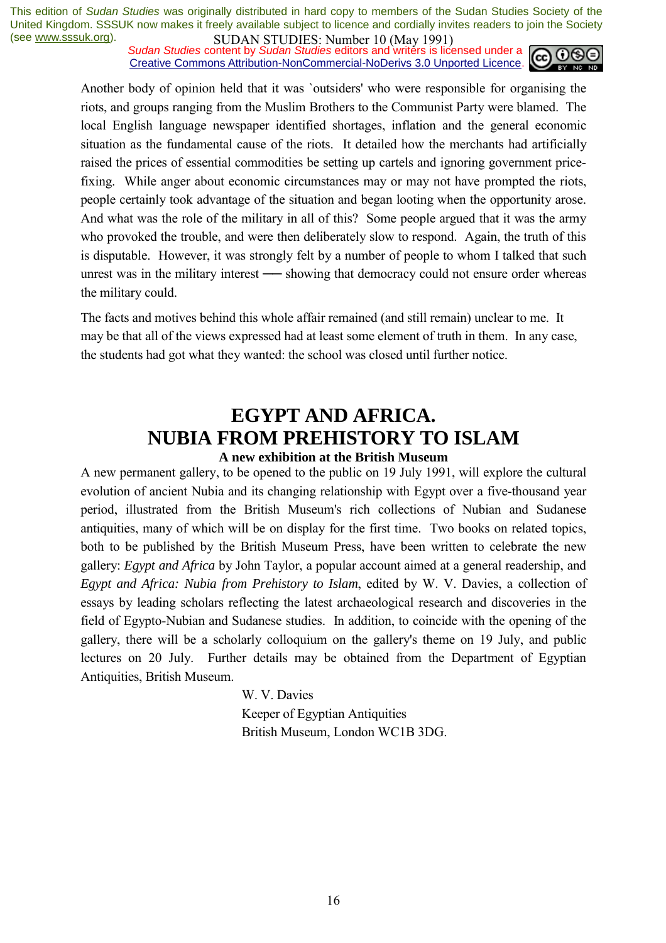**SUDAN STUDIES**. IN SUDERT 10 (1949-1771)<br>Sudan Studies content by Sudan Studies editors and writers is licensed under a Creative Commons Attribution-NonCommercial-NoDerivs 3.0 Unported Licence.



Another body of opinion held that it was `outsiders' who were responsible for organising the riots, and groups ranging from the Muslim Brothers to the Communist Party were blamed. The local English language newspaper identified shortages, inflation and the general economic situation as the fundamental cause of the riots. It detailed how the merchants had artificially raised the prices of essential commodities be setting up cartels and ignoring government pricefixing. While anger about economic circumstances may or may not have prompted the riots, people certainly took advantage of the situation and began looting when the opportunity arose. And what was the role of the military in all of this? Some people argued that it was the army who provoked the trouble, and were then deliberately slow to respond. Again, the truth of this is disputable. However, it was strongly felt by a number of people to whom I talked that such unrest was in the military interest — showing that democracy could not ensure order whereas the military could.

The facts and motives behind this whole affair remained (and still remain) unclear to me. It may be that all of the views expressed had at least some element of truth in them. In any case, the students had got what they wanted: the school was closed until further notice.

### **EGYPT AND AFRICA. NUBIA FROM PREHISTORY TO ISLAM A new exhibition at the British Museum**

A new permanent gallery, to be opened to the public on 19 July 1991, will explore the cultural evolution of ancient Nubia and its changing relationship with Egypt over a five-thousand year period, illustrated from the British Museum's rich collections of Nubian and Sudanese antiquities, many of which will be on display for the first time. Two books on related topics, both to be published by the British Museum Press, have been written to celebrate the new gallery: *Egypt and Africa* by John Taylor, a popular account aimed at a general readership, and *Egypt and Africa: Nubia from Prehistory to Islam*, edited by W. V. Davies, a collection of essays by leading scholars reflecting the latest archaeological research and discoveries in the field of Egypto-Nubian and Sudanese studies. In addition, to coincide with the opening of the gallery, there will be a scholarly colloquium on the gallery's theme on 19 July, and public lectures on 20 July. Further details may be obtained from the Department of Egyptian Antiquities, British Museum.

> W. V. Davies Keeper of Egyptian Antiquities British Museum, London WC1B 3DG.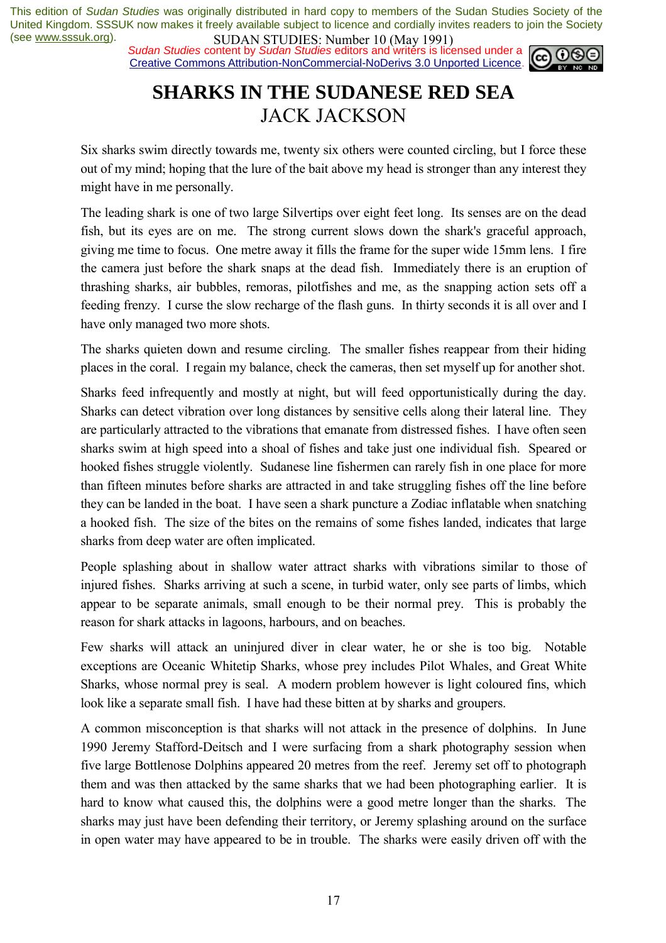**SUDAN STUDIES.** INDIED TO (1948) 1771,<br>Sudan Studies content by *Sudan Studies* editors and writers is licensed under a Creative Commons Attribution-NonCommercial-NoDerivs 3.0 Unported Licence.



# **SHARKS IN THE SUDANESE RED SEA**  JACK JACKSON

Six sharks swim directly towards me, twenty six others were counted circling, but I force these out of my mind; hoping that the lure of the bait above my head is stronger than any interest they might have in me personally.

The leading shark is one of two large Silvertips over eight feet long. Its senses are on the dead fish, but its eyes are on me. The strong current slows down the shark's graceful approach, giving me time to focus. One metre away it fills the frame for the super wide 15mm lens. I fire the camera just before the shark snaps at the dead fish. Immediately there is an eruption of thrashing sharks, air bubbles, remoras, pilotfishes and me, as the snapping action sets off a feeding frenzy. I curse the slow recharge of the flash guns. In thirty seconds it is all over and I have only managed two more shots.

The sharks quieten down and resume circling. The smaller fishes reappear from their hiding places in the coral. I regain my balance, check the cameras, then set myself up for another shot.

Sharks feed infrequently and mostly at night, but will feed opportunistically during the day. Sharks can detect vibration over long distances by sensitive cells along their lateral line. They are particularly attracted to the vibrations that emanate from distressed fishes. I have often seen sharks swim at high speed into a shoal of fishes and take just one individual fish. Speared or hooked fishes struggle violently. Sudanese line fishermen can rarely fish in one place for more than fifteen minutes before sharks are attracted in and take struggling fishes off the line before they can be landed in the boat. I have seen a shark puncture a Zodiac inflatable when snatching a hooked fish. The size of the bites on the remains of some fishes landed, indicates that large sharks from deep water are often implicated.

People splashing about in shallow water attract sharks with vibrations similar to those of injured fishes. Sharks arriving at such a scene, in turbid water, only see parts of limbs, which appear to be separate animals, small enough to be their normal prey. This is probably the reason for shark attacks in lagoons, harbours, and on beaches.

Few sharks will attack an uninjured diver in clear water, he or she is too big. Notable exceptions are Oceanic Whitetip Sharks, whose prey includes Pilot Whales, and Great White Sharks, whose normal prey is seal. A modern problem however is light coloured fins, which look like a separate small fish. I have had these bitten at by sharks and groupers.

A common misconception is that sharks will not attack in the presence of dolphins. In June 1990 Jeremy Stafford-Deitsch and I were surfacing from a shark photography session when five large Bottlenose Dolphins appeared 20 metres from the reef. Jeremy set off to photograph them and was then attacked by the same sharks that we had been photographing earlier. It is hard to know what caused this, the dolphins were a good metre longer than the sharks. The sharks may just have been defending their territory, or Jeremy splashing around on the surface in open water may have appeared to be in trouble. The sharks were easily driven off with the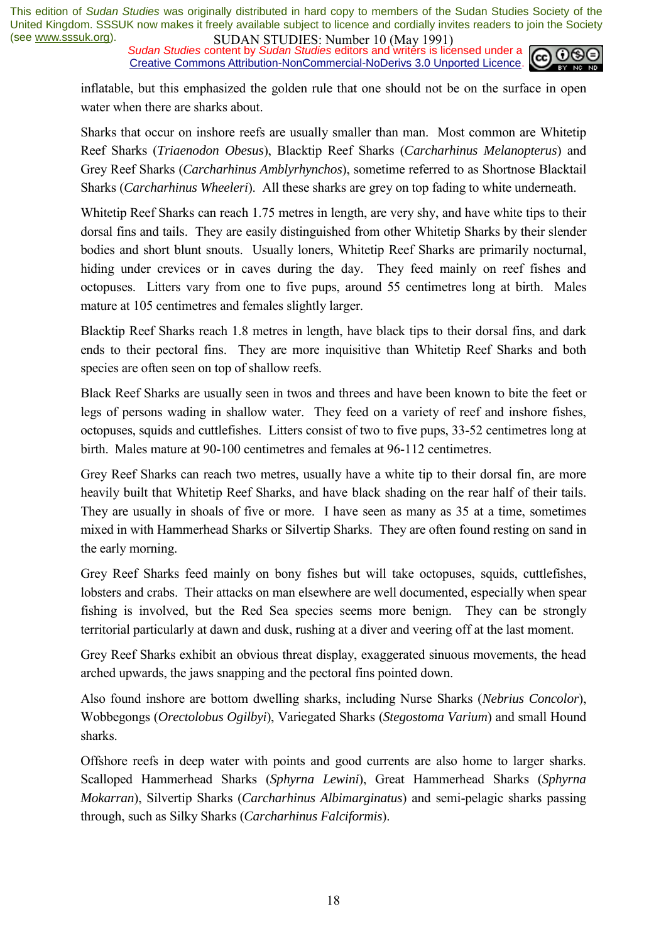**SUDAN STUDIES:** NUTTURE TO (1949 1771)<br>*Sudan Studies* content by *Sudan Studies* editors and writers is licensed under a Creative Commons Attribution-NonCommercial-NoDerivs 3.0 Unported Licence.



inflatable, but this emphasized the golden rule that one should not be on the surface in open water when there are sharks about.

Sharks that occur on inshore reefs are usually smaller than man. Most common are Whitetip Reef Sharks (*Triaenodon Obesus*), Blacktip Reef Sharks (*Carcharhinus Melanopterus*) and Grey Reef Sharks (*Carcharhinus Amblyrhynchos*), sometime referred to as Shortnose Blacktail Sharks (*Carcharhinus Wheeleri*). All these sharks are grey on top fading to white underneath.

Whitetip Reef Sharks can reach 1.75 metres in length, are very shy, and have white tips to their dorsal fins and tails. They are easily distinguished from other Whitetip Sharks by their slender bodies and short blunt snouts. Usually loners, Whitetip Reef Sharks are primarily nocturnal, hiding under crevices or in caves during the day. They feed mainly on reef fishes and octopuses. Litters vary from one to five pups, around 55 centimetres long at birth. Males mature at 105 centimetres and females slightly larger.

Blacktip Reef Sharks reach 1.8 metres in length, have black tips to their dorsal fins, and dark ends to their pectoral fins. They are more inquisitive than Whitetip Reef Sharks and both species are often seen on top of shallow reefs.

Black Reef Sharks are usually seen in twos and threes and have been known to bite the feet or legs of persons wading in shallow water. They feed on a variety of reef and inshore fishes, octopuses, squids and cuttlefishes. Litters consist of two to five pups, 33-52 centimetres long at birth. Males mature at 90-100 centimetres and females at 96-112 centimetres.

Grey Reef Sharks can reach two metres, usually have a white tip to their dorsal fin, are more heavily built that Whitetip Reef Sharks, and have black shading on the rear half of their tails. They are usually in shoals of five or more. I have seen as many as 35 at a time, sometimes mixed in with Hammerhead Sharks or Silvertip Sharks. They are often found resting on sand in the early morning.

Grey Reef Sharks feed mainly on bony fishes but will take octopuses, squids, cuttlefishes, lobsters and crabs. Their attacks on man elsewhere are well documented, especially when spear fishing is involved, but the Red Sea species seems more benign. They can be strongly territorial particularly at dawn and dusk, rushing at a diver and veering off at the last moment.

Grey Reef Sharks exhibit an obvious threat display, exaggerated sinuous movements, the head arched upwards, the jaws snapping and the pectoral fins pointed down.

Also found inshore are bottom dwelling sharks, including Nurse Sharks (*Nebrius Concolor*), Wobbegongs (*Orectolobus Ogilbyi*), Variegated Sharks (*Stegostoma Varium*) and small Hound sharks.

Offshore reefs in deep water with points and good currents are also home to larger sharks. Scalloped Hammerhead Sharks (*Sphyrna Lewini*), Great Hammerhead Sharks (*Sphyrna Mokarran*), Silvertip Sharks (*Carcharhinus Albimarginatus*) and semi-pelagic sharks passing through, such as Silky Sharks (*Carcharhinus Falciformis*).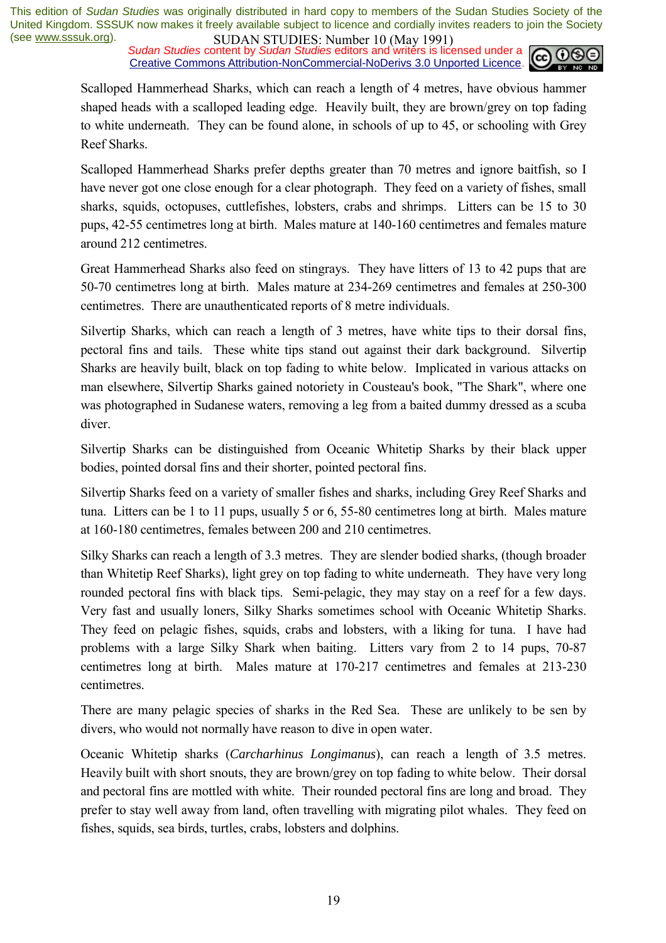**SUDAN STUDIES:** NUTTURE TO (1949 1771)<br>*Sudan Studies* content by *Sudan Studies* editors and writers is licensed under a Creative Commons Attribution-NonCommercial-NoDerivs 3.0 Unported Licence.



Scalloped Hammerhead Sharks, which can reach a length of 4 metres, have obvious hammer shaped heads with a scalloped leading edge. Heavily built, they are brown/grey on top fading to white underneath. They can be found alone, in schools of up to 45, or schooling with Grey Reef Sharks.

Scalloped Hammerhead Sharks prefer depths greater than 70 metres and ignore baitfish, so I have never got one close enough for a clear photograph. They feed on a variety of fishes, small sharks, squids, octopuses, cuttlefishes, lobsters, crabs and shrimps. Litters can be 15 to 30 pups, 42-55 centimetres long at birth. Males mature at 140-160 centimetres and females mature around 212 centimetres.

Great Hammerhead Sharks also feed on stingrays. They have litters of 13 to 42 pups that are 50-70 centimetres long at birth. Males mature at 234-269 centimetres and females at 250-300 centimetres. There are unauthenticated reports of 8 metre individuals.

Silvertip Sharks, which can reach a length of 3 metres, have white tips to their dorsal fins, pectoral fins and tails. These white tips stand out against their dark background. Silvertip Sharks are heavily built, black on top fading to white below. Implicated in various attacks on man elsewhere, Silvertip Sharks gained notoriety in Cousteau's book, "The Shark", where one was photographed in Sudanese waters, removing a leg from a baited dummy dressed as a scuba diver.

Silvertip Sharks can be distinguished from Oceanic Whitetip Sharks by their black upper bodies, pointed dorsal fins and their shorter, pointed pectoral fins.

Silvertip Sharks feed on a variety of smaller fishes and sharks, including Grey Reef Sharks and tuna. Litters can be 1 to 11 pups, usually 5 or 6, 55-80 centimetres long at birth. Males mature at 160-180 centimetres, females between 200 and 210 centimetres.

Silky Sharks can reach a length of 3.3 metres. They are slender bodied sharks, (though broader than Whitetip Reef Sharks), light grey on top fading to white underneath. They have very long rounded pectoral fins with black tips. Semi-pelagic, they may stay on a reef for a few days. Very fast and usually loners, Silky Sharks sometimes school with Oceanic Whitetip Sharks. They feed on pelagic fishes, squids, crabs and lobsters, with a liking for tuna. I have had problems with a large Silky Shark when baiting. Litters vary from 2 to 14 pups, 70-87 centimetres long at birth. Males mature at 170-217 centimetres and females at 213-230 centimetres.

There are many pelagic species of sharks in the Red Sea. These are unlikely to be sen by divers, who would not normally have reason to dive in open water.

Oceanic Whitetip sharks (*Carcharhinus Longimanus*), can reach a length of 3.5 metres. Heavily built with short snouts, they are brown/grey on top fading to white below. Their dorsal and pectoral fins are mottled with white. Their rounded pectoral fins are long and broad. They prefer to stay well away from land, often travelling with migrating pilot whales. They feed on fishes, squids, sea birds, turtles, crabs, lobsters and dolphins.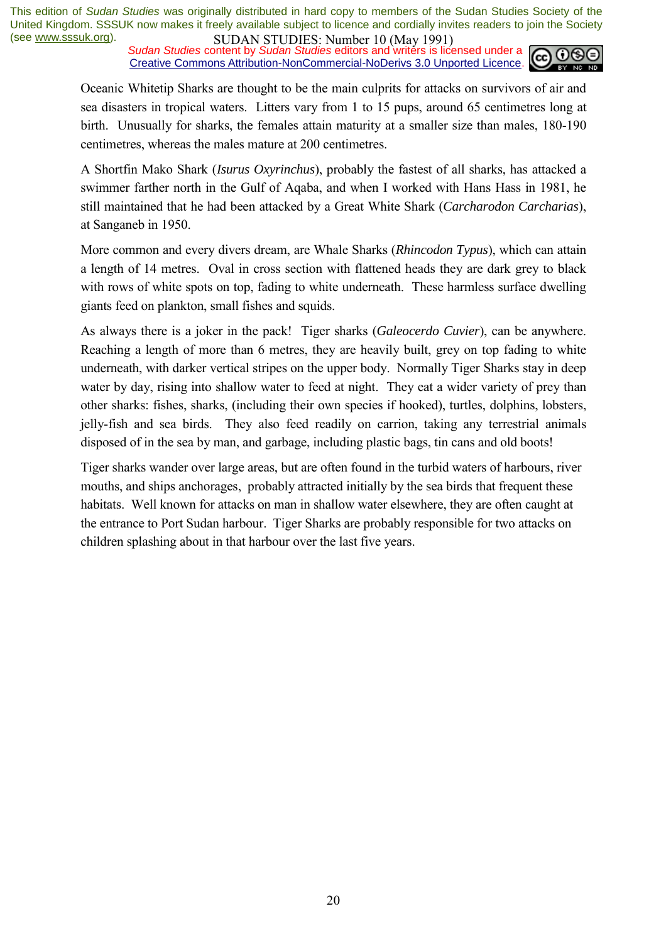**SUDAN STUDIES.** NUTTED IN (1948) 1771, Sudan Studies content by *Sudan Studies* editors and writers is licensed under a Creative Commons Attribution-NonCommercial-NoDerivs 3.0 Unported Licence.



Oceanic Whitetip Sharks are thought to be the main culprits for attacks on survivors of air and sea disasters in tropical waters. Litters vary from 1 to 15 pups, around 65 centimetres long at birth. Unusually for sharks, the females attain maturity at a smaller size than males, 180-190 centimetres, whereas the males mature at 200 centimetres.

A Shortfin Mako Shark (*Isurus Oxyrinchus*), probably the fastest of all sharks, has attacked a swimmer farther north in the Gulf of Aqaba, and when I worked with Hans Hass in 1981, he still maintained that he had been attacked by a Great White Shark (*Carcharodon Carcharias*), at Sanganeb in 1950.

More common and every divers dream, are Whale Sharks (*Rhincodon Typus*), which can attain a length of 14 metres. Oval in cross section with flattened heads they are dark grey to black with rows of white spots on top, fading to white underneath. These harmless surface dwelling giants feed on plankton, small fishes and squids.

As always there is a joker in the pack! Tiger sharks (*Galeocerdo Cuvier*), can be anywhere. Reaching a length of more than 6 metres, they are heavily built, grey on top fading to white underneath, with darker vertical stripes on the upper body. Normally Tiger Sharks stay in deep water by day, rising into shallow water to feed at night. They eat a wider variety of prey than other sharks: fishes, sharks, (including their own species if hooked), turtles, dolphins, lobsters, jelly-fish and sea birds. They also feed readily on carrion, taking any terrestrial animals disposed of in the sea by man, and garbage, including plastic bags, tin cans and old boots!

Tiger sharks wander over large areas, but are often found in the turbid waters of harbours, river mouths, and ships anchorages, probably attracted initially by the sea birds that frequent these habitats. Well known for attacks on man in shallow water elsewhere, they are often caught at the entrance to Port Sudan harbour. Tiger Sharks are probably responsible for two attacks on children splashing about in that harbour over the last five years.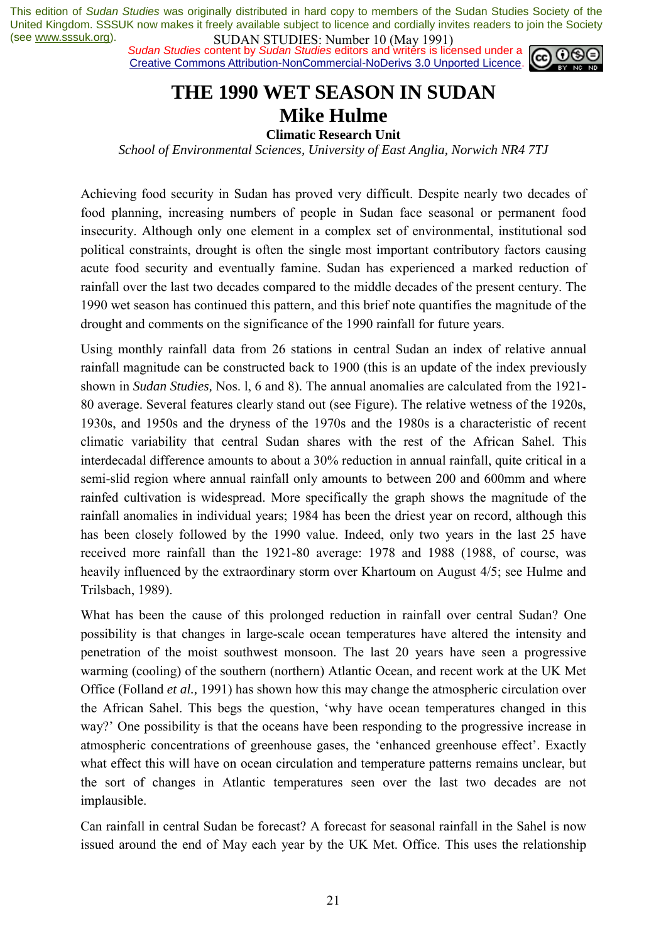**SUDAN STUDIES**: NUTTUBLE 10 (1949 1771)<br>Sudan Studies content by *Sudan Studies* editors and writers is licensed under a **co. 00** Creative Commons Attribution-NonCommercial-NoDerivs 3.0 Unported Licence.



### **THE 1990 WET SEASON IN SUDAN Mike Hulme**

**Climatic Research Unit** 

*School of Environmental Sciences, University of East Anglia, Norwich NR4 7TJ* 

Achieving food security in Sudan has proved very difficult. Despite nearly two decades of food planning, increasing numbers of people in Sudan face seasonal or permanent food insecurity. Although only one element in a complex set of environmental, institutional sod political constraints, drought is often the single most important contributory factors causing acute food security and eventually famine. Sudan has experienced a marked reduction of rainfall over the last two decades compared to the middle decades of the present century. The 1990 wet season has continued this pattern, and this brief note quantifies the magnitude of the drought and comments on the significance of the 1990 rainfall for future years.

Using monthly rainfall data from 26 stations in central Sudan an index of relative annual rainfall magnitude can be constructed back to 1900 (this is an update of the index previously shown in *Sudan Studies,* Nos. l, 6 and 8). The annual anomalies are calculated from the 1921- 80 average. Several features clearly stand out (see Figure). The relative wetness of the 1920s, 1930s, and 1950s and the dryness of the 1970s and the 1980s is a characteristic of recent climatic variability that central Sudan shares with the rest of the African Sahel. This interdecadal difference amounts to about a 30% reduction in annual rainfall, quite critical in a semi-slid region where annual rainfall only amounts to between 200 and 600mm and where rainfed cultivation is widespread. More specifically the graph shows the magnitude of the rainfall anomalies in individual years; 1984 has been the driest year on record, although this has been closely followed by the 1990 value. Indeed, only two years in the last 25 have received more rainfall than the 1921-80 average: 1978 and 1988 (1988, of course, was heavily influenced by the extraordinary storm over Khartoum on August 4/5; see Hulme and Trilsbach, 1989).

What has been the cause of this prolonged reduction in rainfall over central Sudan? One possibility is that changes in large-scale ocean temperatures have altered the intensity and penetration of the moist southwest monsoon. The last 20 years have seen a progressive warming (cooling) of the southern (northern) Atlantic Ocean, and recent work at the UK Met Office (Folland *et al.,* 1991) has shown how this may change the atmospheric circulation over the African Sahel. This begs the question, ëwhy have ocean temperatures changed in this way? One possibility is that the oceans have been responding to the progressive increase in atmospheric concentrations of greenhouse gases, the 'enhanced greenhouse effect'. Exactly what effect this will have on ocean circulation and temperature patterns remains unclear, but the sort of changes in Atlantic temperatures seen over the last two decades are not implausible.

Can rainfall in central Sudan be forecast? A forecast for seasonal rainfall in the Sahel is now issued around the end of May each year by the UK Met. Office. This uses the relationship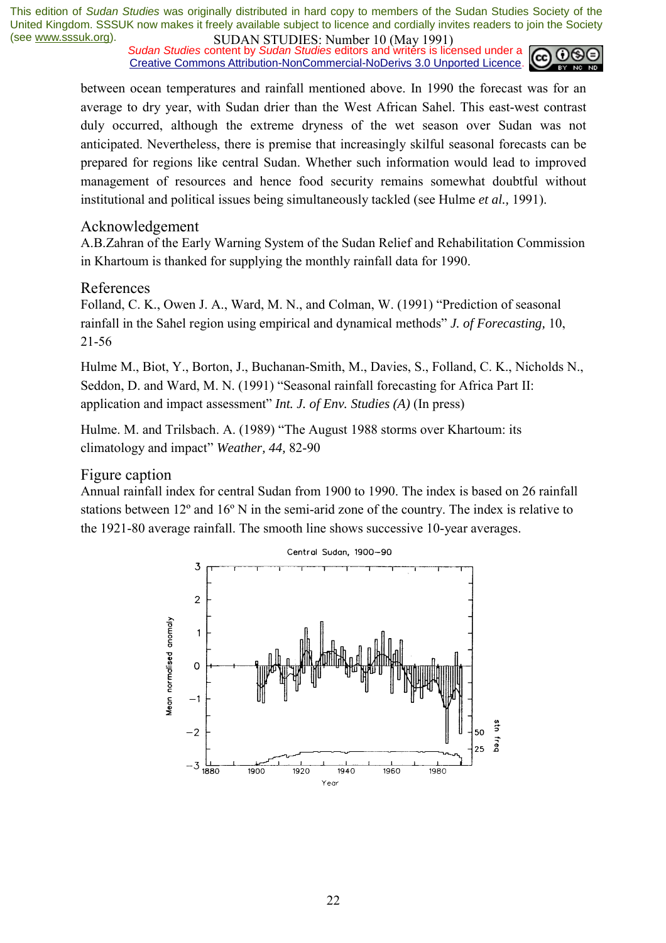*Sudan Studies* content by *Sudan Studies* editors and writers is licensed under a Creative Commons Attribution-NonCommercial-NoDerivs 3.0 Unported Licence.



between ocean temperatures and rainfall mentioned above. In 1990 the forecast was for an average to dry year, with Sudan drier than the West African Sahel. This east-west contrast duly occurred, although the extreme dryness of the wet season over Sudan was not anticipated. Nevertheless, there is premise that increasingly skilful seasonal forecasts can be prepared for regions like central Sudan. Whether such information would lead to improved management of resources and hence food security remains somewhat doubtful without institutional and political issues being simultaneously tackled (see Hulme *et al.,* 1991).

### Acknowledgement

A.B.Zahran of the Early Warning System of the Sudan Relief and Rehabilitation Commission in Khartoum is thanked for supplying the monthly rainfall data for 1990.

### References

Folland, C. K., Owen J. A., Ward, M. N., and Colman, W. (1991) "Prediction of seasonal rainfall in the Sahel region using empirical and dynamical methods" *J. of Forecasting*, 10, 21-56

Hulme M., Biot, Y., Borton, J., Buchanan-Smith, M., Davies, S., Folland, C. K., Nicholds N., Seddon, D. and Ward, M. N. (1991) "Seasonal rainfall forecasting for Africa Part II: application and impact assessment" *Int. J. of Env. Studies (A)* (In press)

Hulme. M. and Trilsbach. A. (1989) "The August 1988 storms over Khartoum: its climatology and impact" *Weather, 44, 82-90* 

### Figure caption

Annual rainfall index for central Sudan from 1900 to 1990. The index is based on 26 rainfall stations between 12º and 16º N in the semi-arid zone of the country. The index is relative to the 1921-80 average rainfall. The smooth line shows successive 10-year averages.

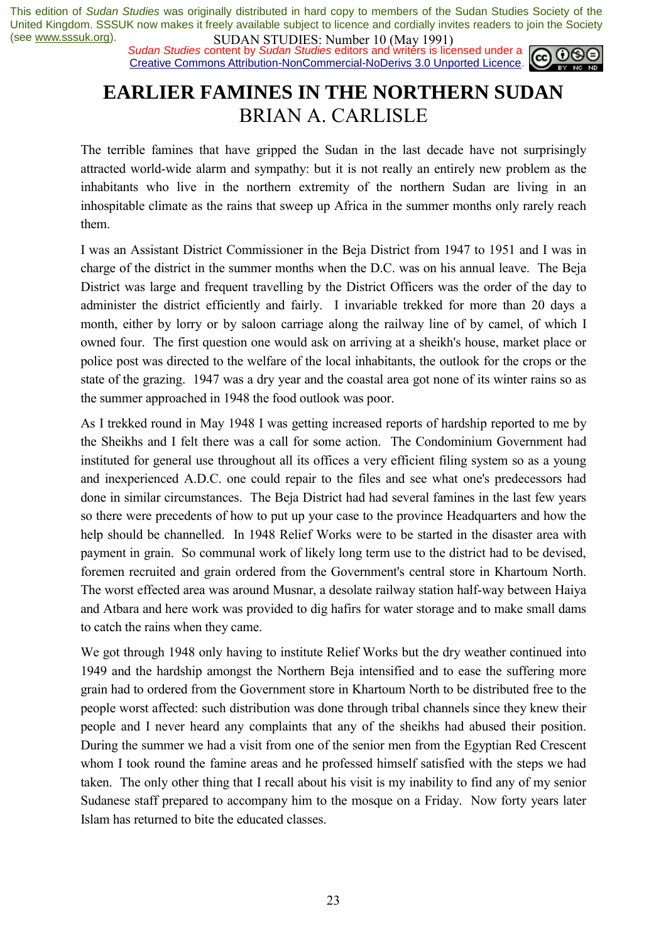**SUDAN STUDIES:** NUTTURE TO (1948) 1774, Sudan Studies content by *Sudan Studies* editors and writers is licensed under a **cell 00** Creative Commons Attribution-NonCommercial-NoDerivs 3.0 Unported Licence.



# **EARLIER FAMINES IN THE NORTHERN SUDAN**  BRIAN A. CARLISLE

The terrible famines that have gripped the Sudan in the last decade have not surprisingly attracted world-wide alarm and sympathy: but it is not really an entirely new problem as the inhabitants who live in the northern extremity of the northern Sudan are living in an inhospitable climate as the rains that sweep up Africa in the summer months only rarely reach them.

I was an Assistant District Commissioner in the Beja District from 1947 to 1951 and I was in charge of the district in the summer months when the D.C. was on his annual leave. The Beja District was large and frequent travelling by the District Officers was the order of the day to administer the district efficiently and fairly. I invariable trekked for more than 20 days a month, either by lorry or by saloon carriage along the railway line of by camel, of which I owned four. The first question one would ask on arriving at a sheikh's house, market place or police post was directed to the welfare of the local inhabitants, the outlook for the crops or the state of the grazing. 1947 was a dry year and the coastal area got none of its winter rains so as the summer approached in 1948 the food outlook was poor.

As I trekked round in May 1948 I was getting increased reports of hardship reported to me by the Sheikhs and I felt there was a call for some action. The Condominium Government had instituted for general use throughout all its offices a very efficient filing system so as a young and inexperienced A.D.C. one could repair to the files and see what one's predecessors had done in similar circumstances. The Beja District had had several famines in the last few years so there were precedents of how to put up your case to the province Headquarters and how the help should be channelled. In 1948 Relief Works were to be started in the disaster area with payment in grain. So communal work of likely long term use to the district had to be devised, foremen recruited and grain ordered from the Government's central store in Khartoum North. The worst effected area was around Musnar, a desolate railway station half-way between Haiya and Atbara and here work was provided to dig hafirs for water storage and to make small dams to catch the rains when they came.

We got through 1948 only having to institute Relief Works but the dry weather continued into 1949 and the hardship amongst the Northern Beja intensified and to ease the suffering more grain had to ordered from the Government store in Khartoum North to be distributed free to the people worst affected: such distribution was done through tribal channels since they knew their people and I never heard any complaints that any of the sheikhs had abused their position. During the summer we had a visit from one of the senior men from the Egyptian Red Crescent whom I took round the famine areas and he professed himself satisfied with the steps we had taken. The only other thing that I recall about his visit is my inability to find any of my senior Sudanese staff prepared to accompany him to the mosque on a Friday. Now forty years later Islam has returned to bite the educated classes.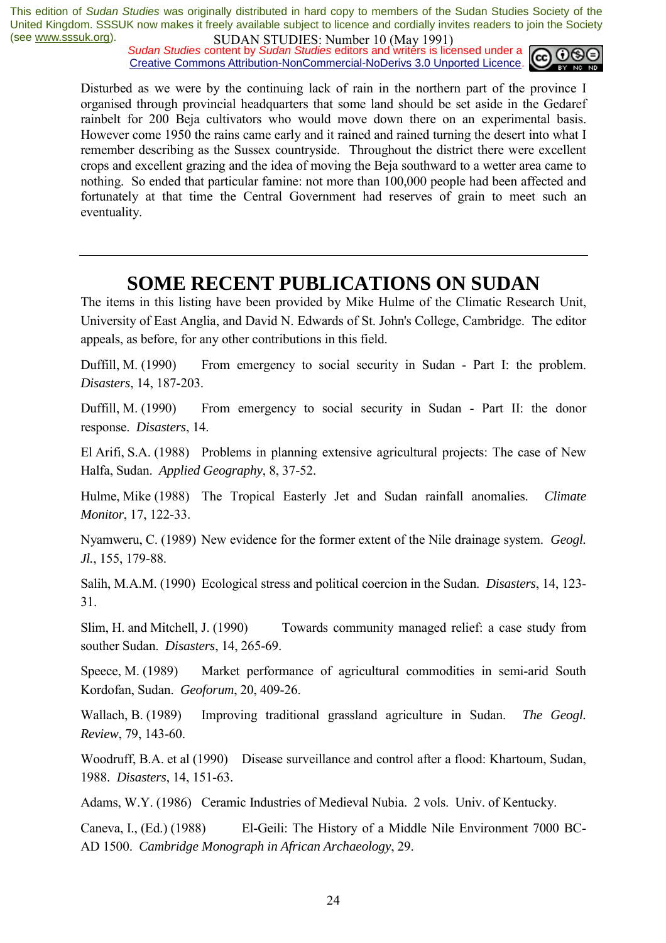**SUDAN STUDIES.** NUTTED IN (1948) 1771, Sudan Studies content by *Sudan Studies* editors and writers is licensed under a Creative Commons Attribution-NonCommercial-NoDerivs 3.0 Unported Licence.



Disturbed as we were by the continuing lack of rain in the northern part of the province I organised through provincial headquarters that some land should be set aside in the Gedaref rainbelt for 200 Beja cultivators who would move down there on an experimental basis. However come 1950 the rains came early and it rained and rained turning the desert into what I remember describing as the Sussex countryside. Throughout the district there were excellent crops and excellent grazing and the idea of moving the Beja southward to a wetter area came to nothing. So ended that particular famine: not more than 100,000 people had been affected and fortunately at that time the Central Government had reserves of grain to meet such an eventuality.

### **SOME RECENT PUBLICATIONS ON SUDAN**

The items in this listing have been provided by Mike Hulme of the Climatic Research Unit, University of East Anglia, and David N. Edwards of St. John's College, Cambridge. The editor appeals, as before, for any other contributions in this field.

Duffill, M. (1990) From emergency to social security in Sudan - Part I: the problem. *Disasters*, 14, 187-203.

Duffill, M. (1990) From emergency to social security in Sudan - Part II: the donor response. *Disasters*, 14.

El Arifi, S.A. (1988) Problems in planning extensive agricultural projects: The case of New Halfa, Sudan. *Applied Geography*, 8, 37-52.

Hulme, Mike (1988) The Tropical Easterly Jet and Sudan rainfall anomalies. *Climate Monitor*, 17, 122-33.

Nyamweru, C. (1989) New evidence for the former extent of the Nile drainage system. *Geogl. Jl.*, 155, 179-88.

Salih, M.A.M. (1990) Ecological stress and political coercion in the Sudan. *Disasters*, 14, 123- 31.

Slim, H. and Mitchell, J. (1990) Towards community managed relief: a case study from souther Sudan. *Disasters*, 14, 265-69.

Speece, M. (1989) Market performance of agricultural commodities in semi-arid South Kordofan, Sudan. *Geoforum*, 20, 409-26.

Wallach, B. (1989) Improving traditional grassland agriculture in Sudan. *The Geogl. Review*, 79, 143-60.

Woodruff, B.A. et al (1990) Disease surveillance and control after a flood: Khartoum, Sudan, 1988. *Disasters*, 14, 151-63.

Adams, W.Y. (1986) Ceramic Industries of Medieval Nubia. 2 vols. Univ. of Kentucky.

Caneva, I., (Ed.) (1988) El-Geili: The History of a Middle Nile Environment 7000 BC-AD 1500. *Cambridge Monograph in African Archaeology*, 29.